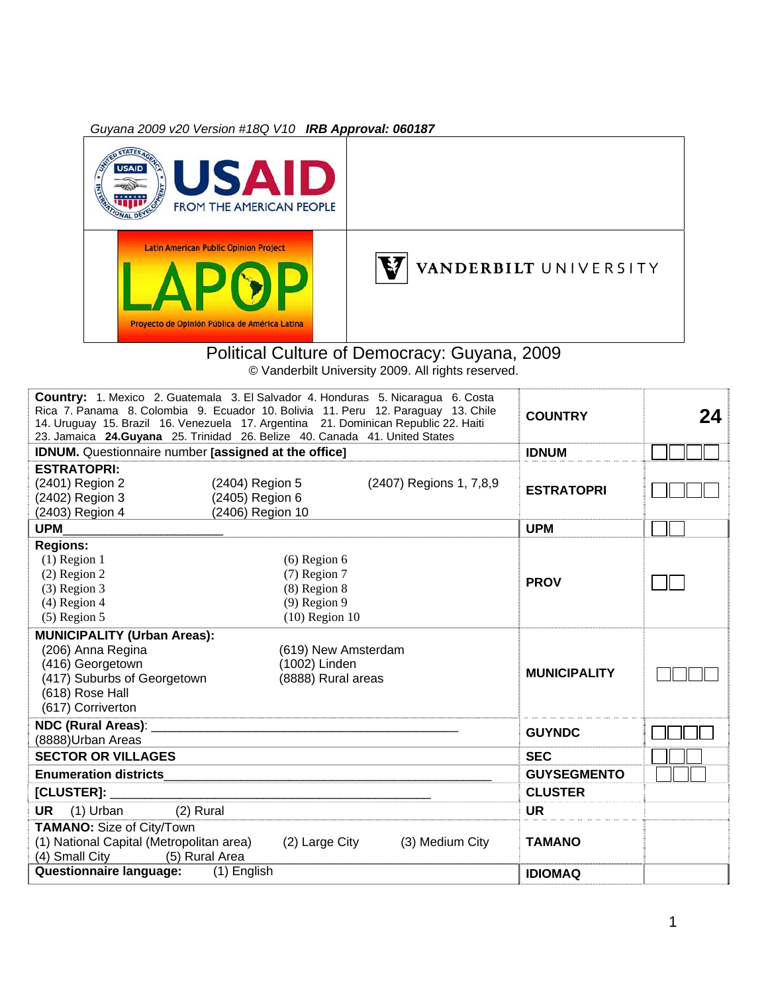*Guyana 2009 v20 Version #18Q V10 IRB Approval: 060187* 



#### Political Culture of Democracy: Guyana, 2009 © Vanderbilt University 2009. All rights reserved.

| <b>Country:</b> 1. Mexico 2. Guatemala 3. El Salvador 4. Honduras 5. Nicaragua 6. Costa<br>Rica 7. Panama 8. Colombia 9. Ecuador 10. Bolivia 11. Peru 12. Paraguay 13. Chile<br>14. Uruguay 15. Brazil 16. Venezuela 17. Argentina 21. Dominican Republic 22. Haiti<br>23. Jamaica 24.Guyana 25. Trinidad 26. Belize 40. Canada 41. United States |                  |                     |                         | <b>COUNTRY</b>      | 24 |
|---------------------------------------------------------------------------------------------------------------------------------------------------------------------------------------------------------------------------------------------------------------------------------------------------------------------------------------------------|------------------|---------------------|-------------------------|---------------------|----|
| <b>IDNUM.</b> Questionnaire number <i>[assigned at the office]</i>                                                                                                                                                                                                                                                                                |                  |                     |                         | <b>IDNUM</b>        |    |
| <b>ESTRATOPRI:</b>                                                                                                                                                                                                                                                                                                                                |                  |                     |                         |                     |    |
| (2401) Region 2                                                                                                                                                                                                                                                                                                                                   | (2404) Region 5  |                     | (2407) Regions 1, 7,8,9 | <b>ESTRATOPRI</b>   |    |
| (2402) Region 3                                                                                                                                                                                                                                                                                                                                   | (2405) Region 6  |                     |                         |                     |    |
| (2403) Region 4                                                                                                                                                                                                                                                                                                                                   | (2406) Region 10 |                     |                         |                     |    |
| <b>UPM</b>                                                                                                                                                                                                                                                                                                                                        |                  |                     |                         | <b>UPM</b>          |    |
| <b>Regions:</b>                                                                                                                                                                                                                                                                                                                                   |                  |                     |                         |                     |    |
| $(1)$ Region 1                                                                                                                                                                                                                                                                                                                                    |                  | $(6)$ Region 6      |                         |                     |    |
| $(2)$ Region 2                                                                                                                                                                                                                                                                                                                                    |                  | $(7)$ Region 7      |                         | <b>PROV</b>         |    |
| $(3)$ Region 3                                                                                                                                                                                                                                                                                                                                    |                  | $(8)$ Region $8$    |                         |                     |    |
| $(4)$ Region 4                                                                                                                                                                                                                                                                                                                                    |                  | $(9)$ Region 9      |                         |                     |    |
| $(5)$ Region 5                                                                                                                                                                                                                                                                                                                                    |                  | $(10)$ Region 10    |                         |                     |    |
| <b>MUNICIPALITY (Urban Areas):</b>                                                                                                                                                                                                                                                                                                                |                  |                     |                         |                     |    |
| (206) Anna Regina                                                                                                                                                                                                                                                                                                                                 |                  | (619) New Amsterdam |                         |                     |    |
| (416) Georgetown                                                                                                                                                                                                                                                                                                                                  |                  | (1002) Linden       |                         | <b>MUNICIPALITY</b> |    |
| (417) Suburbs of Georgetown                                                                                                                                                                                                                                                                                                                       |                  | (8888) Rural areas  |                         |                     |    |
| (618) Rose Hall                                                                                                                                                                                                                                                                                                                                   |                  |                     |                         |                     |    |
| (617) Corriverton                                                                                                                                                                                                                                                                                                                                 |                  |                     |                         |                     |    |
| NDC (Rural Areas):                                                                                                                                                                                                                                                                                                                                |                  |                     |                         | <b>GUYNDC</b>       |    |
| (8888)Urban Areas                                                                                                                                                                                                                                                                                                                                 |                  |                     |                         |                     |    |
| <b>SECTOR OR VILLAGES</b>                                                                                                                                                                                                                                                                                                                         |                  |                     |                         | <b>SEC</b>          |    |
| <b>Enumeration districts</b>                                                                                                                                                                                                                                                                                                                      |                  |                     |                         | <b>GUYSEGMENTO</b>  |    |
| [CLUSTER]:                                                                                                                                                                                                                                                                                                                                        |                  |                     |                         | <b>CLUSTER</b>      |    |
| (2) Rural<br><b>UR</b><br>$(1)$ Urban                                                                                                                                                                                                                                                                                                             |                  |                     |                         | <b>UR</b>           |    |
| <b>TAMANO:</b> Size of City/Town                                                                                                                                                                                                                                                                                                                  |                  |                     |                         |                     |    |
| (1) National Capital (Metropolitan area)                                                                                                                                                                                                                                                                                                          |                  | (2) Large City      | (3) Medium City         | <b>TAMANO</b>       |    |
| (5) Rural Area<br>(4) Small City                                                                                                                                                                                                                                                                                                                  |                  |                     |                         |                     |    |
| <b>Questionnaire language:</b>                                                                                                                                                                                                                                                                                                                    | (1) English      |                     |                         | <b>IDIOMAQ</b>      |    |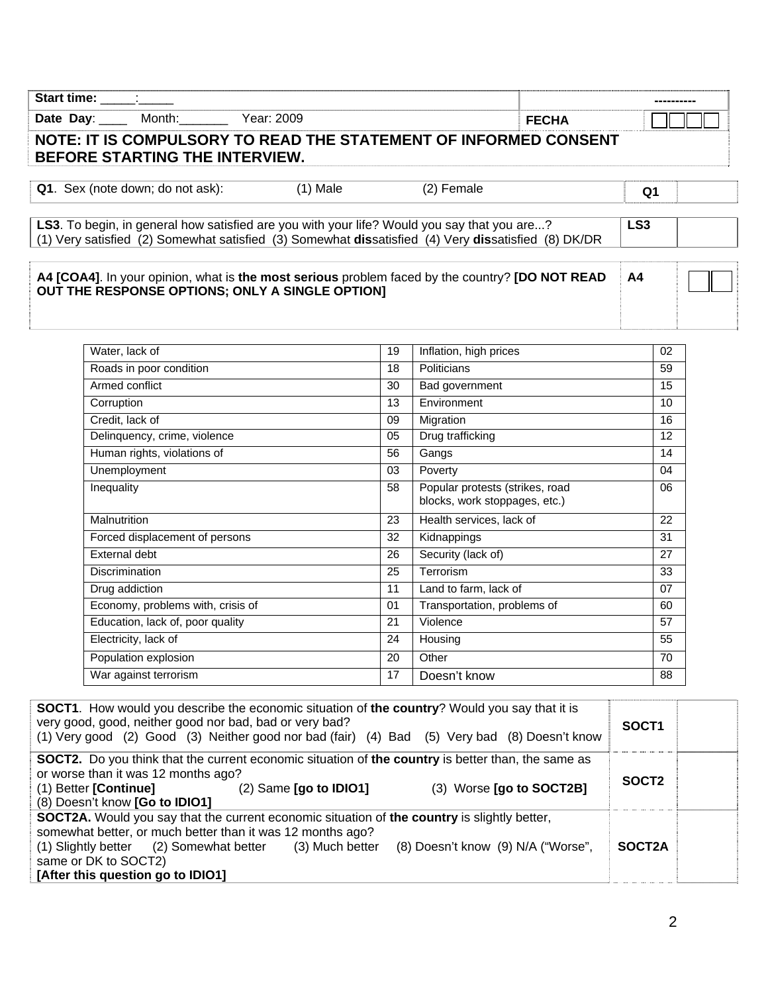| Start time: ______: ______              |                                                                                                                                                                                                            |    |                        |              |                 |  |
|-----------------------------------------|------------------------------------------------------------------------------------------------------------------------------------------------------------------------------------------------------------|----|------------------------|--------------|-----------------|--|
| Date Day: Month:                        | Year: 2009                                                                                                                                                                                                 |    |                        | <b>FECHA</b> |                 |  |
| BEFORE STARTING THE INTERVIEW.          | NOTE: IT IS COMPULSORY TO READ THE STATEMENT OF INFORMED CONSENT                                                                                                                                           |    |                        |              |                 |  |
| <b>Q1.</b> Sex (note down; do not ask): | $(1)$ Male                                                                                                                                                                                                 |    | (2) Female             |              | Q1              |  |
|                                         | <b>LS3</b> . To begin, in general how satisfied are you with your life? Would you say that you are?<br>(1) Very satisfied (2) Somewhat satisfied (3) Somewhat dissatisfied (4) Very dissatisfied (8) DK/DR |    |                        |              | LS <sub>3</sub> |  |
|                                         | A4 [COA4]. In your opinion, what is the most serious problem faced by the country? [DO NOT READ<br>OUT THE RESPONSE OPTIONS; ONLY A SINGLE OPTION]                                                         |    |                        |              | A <sub>4</sub>  |  |
| Water, lack of                          |                                                                                                                                                                                                            | 19 | Inflation, high prices |              | 02              |  |

| Roads in poor condition           | 18 | Politicians                                                      | 59 |
|-----------------------------------|----|------------------------------------------------------------------|----|
| Armed conflict                    | 30 | Bad government                                                   | 15 |
| Corruption                        | 13 | Environment                                                      | 10 |
| Credit, lack of                   | 09 | Migration                                                        | 16 |
| Delinquency, crime, violence      | 05 | Drug trafficking                                                 | 12 |
| Human rights, violations of       | 56 | Gangs                                                            | 14 |
| Unemployment                      | 03 | Poverty                                                          | 04 |
| Inequality                        | 58 | Popular protests (strikes, road<br>blocks, work stoppages, etc.) | 06 |
| Malnutrition                      | 23 | Health services, lack of                                         | 22 |
| Forced displacement of persons    | 32 | Kidnappings                                                      | 31 |
| External debt                     | 26 | Security (lack of)                                               | 27 |
| <b>Discrimination</b>             | 25 | Terrorism                                                        | 33 |
| Drug addiction                    | 11 | Land to farm, lack of                                            | 07 |
| Economy, problems with, crisis of | 01 | Transportation, problems of                                      | 60 |
| Education, lack of, poor quality  | 21 | Violence                                                         | 57 |
| Electricity, lack of              | 24 | Housing                                                          | 55 |
| Population explosion              | 20 | Other                                                            | 70 |
| War against terrorism             | 17 | Doesn't know                                                     | 88 |
|                                   |    |                                                                  |    |

| <b>SOCT1.</b> How would you describe the economic situation of the country? Would you say that it is<br>very good, good, neither good nor bad, bad or very bad?<br>(1) Very good (2) Good (3) Neither good nor bad (fair) (4) Bad (5) Very bad (8) Doesn't know                                                                 | SOCT <sub>1</sub> |  |
|---------------------------------------------------------------------------------------------------------------------------------------------------------------------------------------------------------------------------------------------------------------------------------------------------------------------------------|-------------------|--|
| <b>SOCT2.</b> Do you think that the current economic situation of the country is better than, the same as<br>or worse than it was 12 months ago?                                                                                                                                                                                |                   |  |
| (3) Worse [go to SOCT2B]<br>(1) Better [Continue]<br>$(2)$ Same [go to IDIO1]<br>(8) Doesn't know [Go to IDIO1]                                                                                                                                                                                                                 | SOCT <sub>2</sub> |  |
| <b>SOCT2A.</b> Would you say that the current economic situation of the country is slightly better,<br>somewhat better, or much better than it was 12 months ago?<br>(1) Slightly better (2) Somewhat better (3) Much better<br>(8) Doesn't know (9) N/A ("Worse",<br>same or DK to SOCT2)<br>[After this question go to IDIO1] | SOCT2A            |  |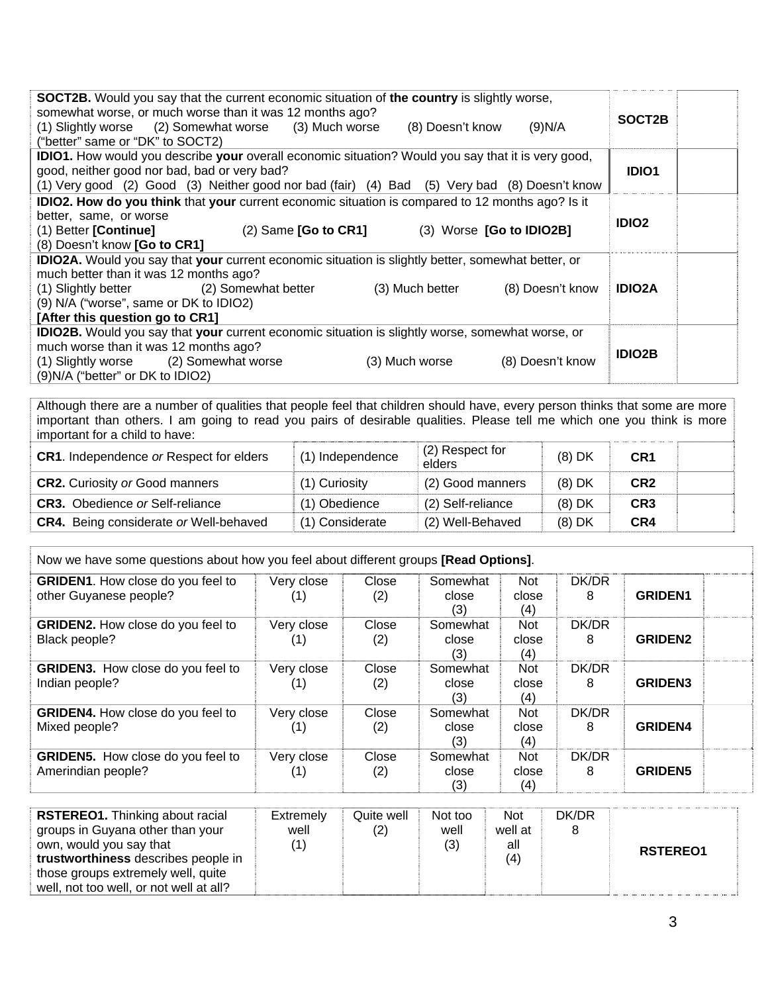| <b>SOCT2B.</b> Would you say that the current economic situation of the country is slightly worse,<br>somewhat worse, or much worse than it was 12 months ago?<br>(1) Slightly worse (2) Somewhat worse (3) Much worse<br>(9)N/A<br>(8) Doesn't know<br>("better" same or "DK" to SOCT2) | SOCT2B        |
|------------------------------------------------------------------------------------------------------------------------------------------------------------------------------------------------------------------------------------------------------------------------------------------|---------------|
| <b>IDIO1.</b> How would you describe your overall economic situation? Would you say that it is very good,                                                                                                                                                                                |               |
| good, neither good nor bad, bad or very bad?                                                                                                                                                                                                                                             | <b>IDIO1</b>  |
| (1) Very good (2) Good (3) Neither good nor bad (fair) (4) Bad (5) Very bad (8) Doesn't know                                                                                                                                                                                             |               |
| <b>IDIO2. How do you think</b> that your current economic situation is compared to 12 months ago? Is it                                                                                                                                                                                  |               |
| better, same, or worse                                                                                                                                                                                                                                                                   | <b>IDIO2</b>  |
| (1) Better [Continue]<br>$(2)$ Same [Go to CR1]<br>(3) Worse [Go to IDIO2B]                                                                                                                                                                                                              |               |
| (8) Doesn't know [Go to CR1]                                                                                                                                                                                                                                                             |               |
| <b>IDIO2A.</b> Would you say that your current economic situation is slightly better, somewhat better, or                                                                                                                                                                                |               |
| much better than it was 12 months ago?                                                                                                                                                                                                                                                   |               |
| (1) Slightly better (2) Somewhat better<br>(8) Doesn't know<br>(3) Much better                                                                                                                                                                                                           | <b>IDIO2A</b> |
| (9) N/A ("worse", same or DK to IDIO2)                                                                                                                                                                                                                                                   |               |
| [After this question go to CR1]                                                                                                                                                                                                                                                          |               |
| <b>IDIO2B.</b> Would you say that your current economic situation is slightly worse, somewhat worse, or                                                                                                                                                                                  |               |
| much worse than it was 12 months ago?                                                                                                                                                                                                                                                    | <b>IDIO2B</b> |
| (1) Slightly worse (2) Somewhat worse<br>(8) Doesn't know<br>(3) Much worse                                                                                                                                                                                                              |               |
| $(9)N/A$ ("better" or DK to IDIO2)                                                                                                                                                                                                                                                       |               |

Although there are a number of qualities that people feel that children should have, every person thinks that some are more important than others. I am going to read you pairs of desirable qualities. Please tell me which one you think is more important for a child to have:

| <b>CR1.</b> Independence or Respect for elders | (1) Independence | (2) Respect for<br>elders | $(8)$ DK | CR <sub>1</sub> |  |
|------------------------------------------------|------------------|---------------------------|----------|-----------------|--|
| <b>CR2.</b> Curiosity or Good manners          | (1) Curiosity    | (2) Good manners          | $(8)$ DK | CR <sub>2</sub> |  |
| <b>CR3.</b> Obedience or Self-reliance         | (1) Obedience    | (2) Self-reliance         | $(8)$ DK | CR <sub>3</sub> |  |
| <b>CR4.</b> Being considerate or Well-behaved  | (1) Considerate  | (2) Well-Behaved          | $(8)$ DK | CR4             |  |

| Now we have some questions about how you feel about different groups [Read Options]. |                     |              |                          |                            |            |                |
|--------------------------------------------------------------------------------------|---------------------|--------------|--------------------------|----------------------------|------------|----------------|
| <b>GRIDEN1.</b> How close do you feel to<br>other Guyanese people?                   | Very close          | Close<br>(2) | Somewhat<br>close<br>(3) | Not<br>close<br>(4)        | DK/DR<br>8 | <b>GRIDEN1</b> |
| <b>GRIDEN2.</b> How close do you feel to<br>Black people?                            | Very close          | Close<br>(2) | Somewhat<br>close<br>(3) | Not<br>close<br>(4)        | DK/DR<br>8 | <b>GRIDEN2</b> |
| <b>GRIDEN3.</b> How close do you feel to<br>Indian people?                           | Very close<br>. 1 ) | Close<br>(2) | Somewhat<br>close<br>(3) | <b>Not</b><br>close<br>(4) | DK/DR<br>8 | <b>GRIDEN3</b> |
| <b>GRIDEN4.</b> How close do you feel to<br>Mixed people?                            | Very close<br>U)    | Close<br>(2) | Somewhat<br>close<br>(3) | Not<br>close<br>(4)        | DK/DR<br>8 | <b>GRIDEN4</b> |
| <b>GRIDEN5.</b> How close do you feel to<br>Amerindian people?                       | Very close<br>[1]   | Close<br>(2) | Somewhat<br>close<br>(3) | Not<br>close<br>(4)        | DK/DR<br>8 | <b>GRIDEN5</b> |

| <b>RSTEREO1.</b> Thinking about racial<br>groups in Guyana other than your<br>own, would you say that<br>trustworthiness describes people in<br>those groups extremely well, quite<br>well, not too well, or not well at all? | <b>Extremely</b><br>well | Quite well<br>(2) | Not too<br>well<br>(3) | Not<br>well at<br>all<br>(4) | DK/DR | <b>RSTEREO1</b> |
|-------------------------------------------------------------------------------------------------------------------------------------------------------------------------------------------------------------------------------|--------------------------|-------------------|------------------------|------------------------------|-------|-----------------|
|-------------------------------------------------------------------------------------------------------------------------------------------------------------------------------------------------------------------------------|--------------------------|-------------------|------------------------|------------------------------|-------|-----------------|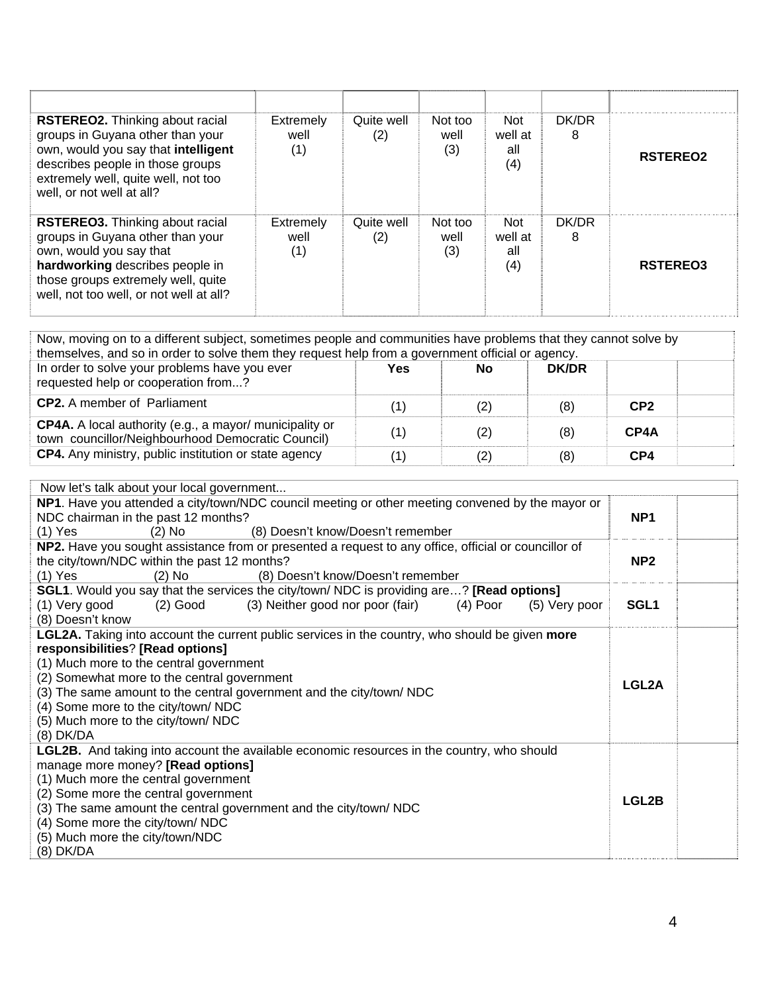| <b>RSTEREO2.</b> Thinking about racial<br>groups in Guyana other than your<br>own, would you say that intelligent<br>describes people in those groups<br>extremely well, quite well, not too<br>well, or not well at all? | Extremely<br>well<br>(1) | Quite well<br>(2) | Not too<br>well<br>(3) | <b>Not</b><br>well at<br>all<br>(4) | DK/DR<br>8 | <b>RSTEREO2</b> |
|---------------------------------------------------------------------------------------------------------------------------------------------------------------------------------------------------------------------------|--------------------------|-------------------|------------------------|-------------------------------------|------------|-----------------|
| <b>RSTEREO3.</b> Thinking about racial<br>groups in Guyana other than your<br>own, would you say that<br>hardworking describes people in<br>those groups extremely well, quite<br>well, not too well, or not well at all? | Extremely<br>well<br>(1) | Quite well<br>(2) | Not too<br>well<br>(3) | <b>Not</b><br>well at<br>all<br>(4) | DK/DR<br>8 | <b>RSTEREO3</b> |

| Now, moving on to a different subject, sometimes people and communities have problems that they cannot solve by<br>themselves, and so in order to solve them they request help from a government official or agency. |     |     |              |                 |  |
|----------------------------------------------------------------------------------------------------------------------------------------------------------------------------------------------------------------------|-----|-----|--------------|-----------------|--|
| In order to solve your problems have you ever<br>requested help or cooperation from?                                                                                                                                 | Yes | No  | <b>DK/DR</b> |                 |  |
| <b>CP2.</b> A member of Parliament                                                                                                                                                                                   |     | (2) | (8)          | CP <sub>2</sub> |  |
| <b>CP4A.</b> A local authority (e.g., a mayor/ municipality or<br>town councillor/Neighbourhood Democratic Council)                                                                                                  |     | (2) | (8)          | CP4A            |  |
| CP4. Any ministry, public institution or state agency                                                                                                                                                                |     | (2) | (8)          | CP4             |  |

| Now let's talk about your local government                                                              |                  |
|---------------------------------------------------------------------------------------------------------|------------------|
| NP1. Have you attended a city/town/NDC council meeting or other meeting convened by the mayor or        |                  |
| NDC chairman in the past 12 months?                                                                     | NP <sub>1</sub>  |
| (8) Doesn't know/Doesn't remember<br>$(2)$ No<br>$(1)$ Yes                                              |                  |
| NP2. Have you sought assistance from or presented a request to any office, official or councillor of    |                  |
| the city/town/NDC within the past 12 months?                                                            | NP <sub>2</sub>  |
| $(2)$ No<br>(8) Doesn't know/Doesn't remember<br>$(1)$ Yes                                              |                  |
| <b>SGL1.</b> Would you say that the services the city/town/ NDC is providing are? <b>[Read options]</b> |                  |
| (3) Neither good nor poor (fair)<br>$(4)$ Poor<br>(1) Very good<br>(2) Good<br>(5) Very poor            | SGL <sub>1</sub> |
| (8) Doesn't know                                                                                        |                  |
| <b>LGL2A.</b> Taking into account the current public services in the country, who should be given more  |                  |
| responsibilities? [Read options]                                                                        |                  |
| (1) Much more to the central government                                                                 |                  |
| (2) Somewhat more to the central government                                                             | LGL2A            |
| (3) The same amount to the central government and the city/town/ NDC                                    |                  |
| (4) Some more to the city/town/ NDC                                                                     |                  |
| (5) Much more to the city/town/NDC                                                                      |                  |
| (8) DK/DA                                                                                               |                  |
| <b>LGL2B.</b> And taking into account the available economic resources in the country, who should       |                  |
| manage more money? [Read options]                                                                       |                  |
| (1) Much more the central government                                                                    |                  |
| (2) Some more the central government                                                                    | LGL2B            |
| (3) The same amount the central government and the city/town/ NDC                                       |                  |
| (4) Some more the city/town/ NDC                                                                        |                  |
| (5) Much more the city/town/NDC                                                                         |                  |
| (8) DK/DA                                                                                               |                  |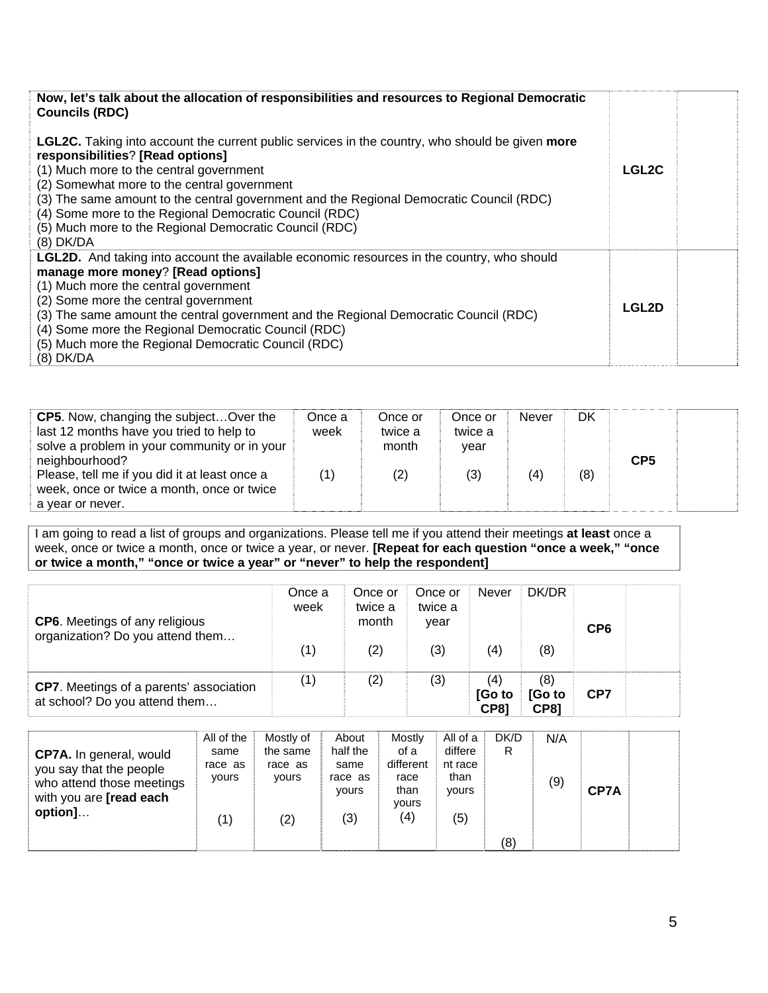| Now, let's talk about the allocation of responsibilities and resources to Regional Democratic<br><b>Councils (RDC)</b>                                                                                                                                                                                                                                                                                                                                                    |              |  |
|---------------------------------------------------------------------------------------------------------------------------------------------------------------------------------------------------------------------------------------------------------------------------------------------------------------------------------------------------------------------------------------------------------------------------------------------------------------------------|--------------|--|
| <b>LGL2C.</b> Taking into account the current public services in the country, who should be given <b>more</b><br>responsibilities? [Read options]<br>(1) Much more to the central government<br>(2) Somewhat more to the central government<br>(3) The same amount to the central government and the Regional Democratic Council (RDC)<br>(4) Some more to the Regional Democratic Council (RDC)<br>(5) Much more to the Regional Democratic Council (RDC)<br>$(8)$ DK/DA | <b>LGL2C</b> |  |
| <b>LGL2D.</b> And taking into account the available economic resources in the country, who should<br>manage more money? [Read options]<br>(1) Much more the central government<br>(2) Some more the central government<br>(3) The same amount the central government and the Regional Democratic Council (RDC)<br>(4) Some more the Regional Democratic Council (RDC)<br>(5) Much more the Regional Democratic Council (RDC)<br>(8) DK/DA                                 | <b>LGL2D</b> |  |

| <b>CP5.</b> Now, changing the subject Over the<br>last 12 months have you tried to help to<br>solve a problem in your community or in your | Once a<br>week | Once or<br>twice a<br>month | Once or<br>twice a<br>vear | Never | DK  | CP <sub>5</sub> |  |
|--------------------------------------------------------------------------------------------------------------------------------------------|----------------|-----------------------------|----------------------------|-------|-----|-----------------|--|
| neighbourhood?<br>Please, tell me if you did it at least once a<br>week, once or twice a month, once or twice<br>a year or never.          |                | (2)                         | (3)                        | (4)   | (8) |                 |  |

I am going to read a list of groups and organizations. Please tell me if you attend their meetings **at least** once a week, once or twice a month, once or twice a year, or never. **[Repeat for each question "once a week," "once or twice a month," "once or twice a year" or "never" to help the respondent]**

| <b>CP6.</b> Meetings of any religious<br>organization? Do you attend them       | Once a<br>week | Once or<br>twice a<br>month | Once or<br>twice a<br>year | <b>Never</b>                 | DK/DR                        | CP <sub>6</sub> |  |
|---------------------------------------------------------------------------------|----------------|-----------------------------|----------------------------|------------------------------|------------------------------|-----------------|--|
|                                                                                 | (1)            | (2)                         | (3)                        | (4)                          | (8)                          |                 |  |
| <b>CP7.</b> Meetings of a parents' association<br>at school? Do you attend them | (1)            | (2)                         | (3)                        | (4)<br>[Go to<br><b>CP81</b> | (8)<br>[Go to<br><b>CP81</b> | CP7             |  |

| <b>CP7A.</b> In general, would<br>you say that the people<br>who attend those meetings<br>with you are <b>[read each</b><br>option] | All of the<br>same<br>race as<br>yours<br>(1) | Mostly of<br>the same<br>race as<br>vours<br>(2) | About<br>half the<br>same<br>race as<br><b>vours</b><br>(3) | Mostly<br>of a<br>different<br>race<br>than<br>yours<br>(4) | All of a<br>differe<br>nt race<br>than<br>yours<br>(5) | DK/D<br>R. | N/A<br>(9) | CP7A |  |
|-------------------------------------------------------------------------------------------------------------------------------------|-----------------------------------------------|--------------------------------------------------|-------------------------------------------------------------|-------------------------------------------------------------|--------------------------------------------------------|------------|------------|------|--|
|                                                                                                                                     |                                               |                                                  |                                                             |                                                             |                                                        | (8)        |            |      |  |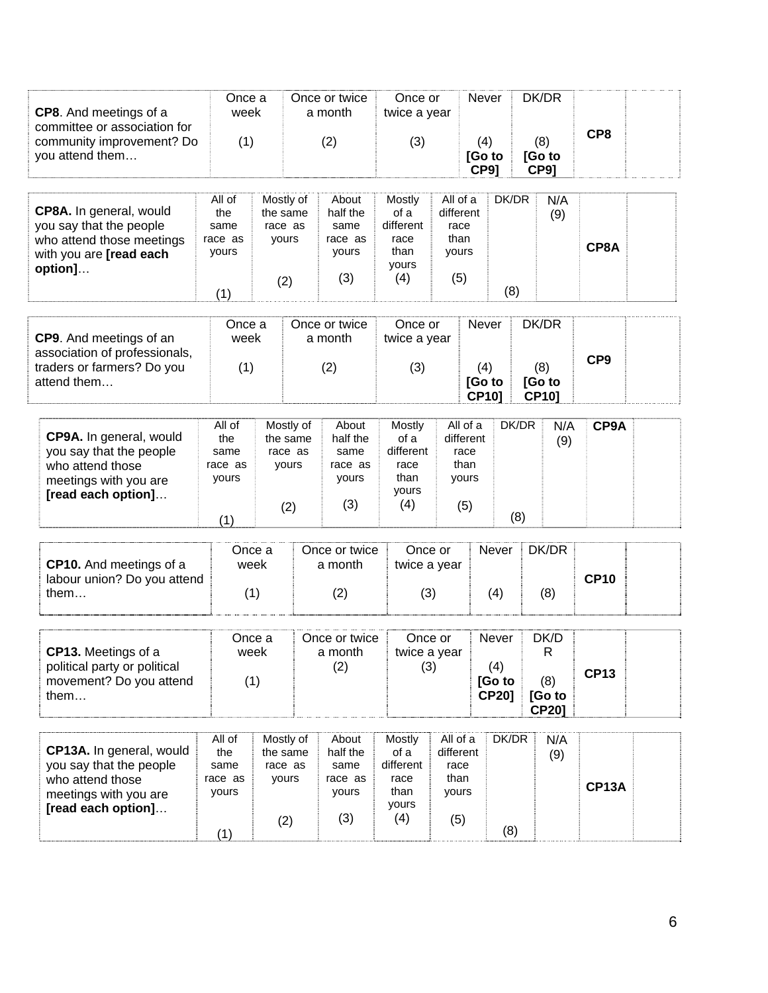| <b>CP8.</b> And meetings of a<br>committee or association for   | Once a<br>week   |                       |  | Once or twice<br>a month | Once or<br>twice a year |                       | <b>Never</b>                  |       | DK/DR                         |                 |
|-----------------------------------------------------------------|------------------|-----------------------|--|--------------------------|-------------------------|-----------------------|-------------------------------|-------|-------------------------------|-----------------|
| community improvement? Do<br>you attend them                    | (1)              |                       |  | (2)                      | (3)                     |                       | (4)<br>[Go to<br><b>CP9]</b>  |       | (8)<br>[Go to<br><b>CP9]</b>  | CP <sub>8</sub> |
| CP8A. In general, would                                         | All of<br>the    | Mostly of<br>the same |  | About<br>half the        | Mostly<br>of a          | All of a<br>different |                               | DK/DR | N/A                           |                 |
| you say that the people                                         | same             | race as               |  | same                     | different               | race                  |                               |       | (9)                           |                 |
| who attend those meetings<br>with you are [read each<br>option] | race as<br>yours | yours                 |  | race as<br>yours         | race<br>than<br>yours   | than<br>yours         |                               |       |                               | CP8A            |
|                                                                 | (1)              | (2)                   |  | (3)                      | (4)                     | (5)                   |                               | (8)   |                               |                 |
| CP9. And meetings of an                                         | Once a<br>week   |                       |  | Once or twice<br>a month | Once or<br>twice a year |                       | Never                         |       | DK/DR                         |                 |
| association of professionals,                                   |                  |                       |  |                          |                         |                       |                               |       |                               | CP <sub>9</sub> |
| traders or farmers? Do you<br>attend them                       | (1)              |                       |  | (2)                      | (3)                     |                       | (4)<br>[Go to<br><b>CP10]</b> |       | (8)<br>[Go to<br><b>CP10]</b> |                 |
|                                                                 | All of           | Mostly of             |  | About                    | Mostly                  | All of a              |                               | DK/DR | N/A                           | CP9A            |
| CP9A. In general, would<br>you say that the people              | the<br>same      | the same<br>race as   |  | half the<br>same         | of a<br>different       | different<br>race     |                               |       | (9)                           |                 |
| who attend those<br>meetings with you are                       | race as<br>yours | yours                 |  | race as<br>yours         | race<br>than            | than<br>yours         |                               |       |                               |                 |
| [read each option]                                              |                  | (2)                   |  | (3)                      | yours<br>(4)            | (5)                   |                               |       |                               |                 |
|                                                                 | (1)              |                       |  |                          |                         |                       |                               | (8)   |                               |                 |
|                                                                 | Once a<br>week   |                       |  | Once or twice            | Once or                 |                       | Never                         |       | DK/DR                         |                 |
| <b>CP10.</b> And meetings of a<br>labour union? Do you attend   |                  |                       |  | a month                  | twice a year            |                       |                               |       |                               | <b>CP10</b>     |
| them                                                            | (1)              |                       |  | (2)                      | (3)                     |                       | (4)                           |       | (8)                           |                 |
|                                                                 | Once a           |                       |  | Once or twice            | Once or                 |                       | Never                         |       | DK/D                          |                 |
| CP13. Meetings of a<br>political party or political             | week             |                       |  | a month<br>(2)           | twice a year<br>(3)     |                       | (4)                           |       | R                             | <b>CP13</b>     |
| movement? Do you attend<br>them                                 | (1)              |                       |  |                          |                         |                       | [Go to<br><b>CP20]</b>        |       | (8)<br>[Go to<br><b>CP20]</b> |                 |
|                                                                 | All of           | Mostly of             |  | About                    | Mostly                  | All of a              |                               | DK/DR | N/A                           |                 |
| CP13A. In general, would<br>you say that the people             | the<br>same      | the same<br>race as   |  | half the<br>same         | of a<br>different       | different<br>race     |                               |       | (9)                           |                 |
| who attend those<br>meetings with you are                       | race as<br>yours | yours                 |  | race as<br>yours         | race<br>than            | than<br>yours         |                               |       |                               | <b>CP13A</b>    |
| [read each option]                                              |                  | (2)                   |  | (3)                      | yours<br>(4)            | (5)                   |                               |       |                               |                 |
|                                                                 | (1)              |                       |  |                          |                         |                       |                               | (8)   |                               |                 |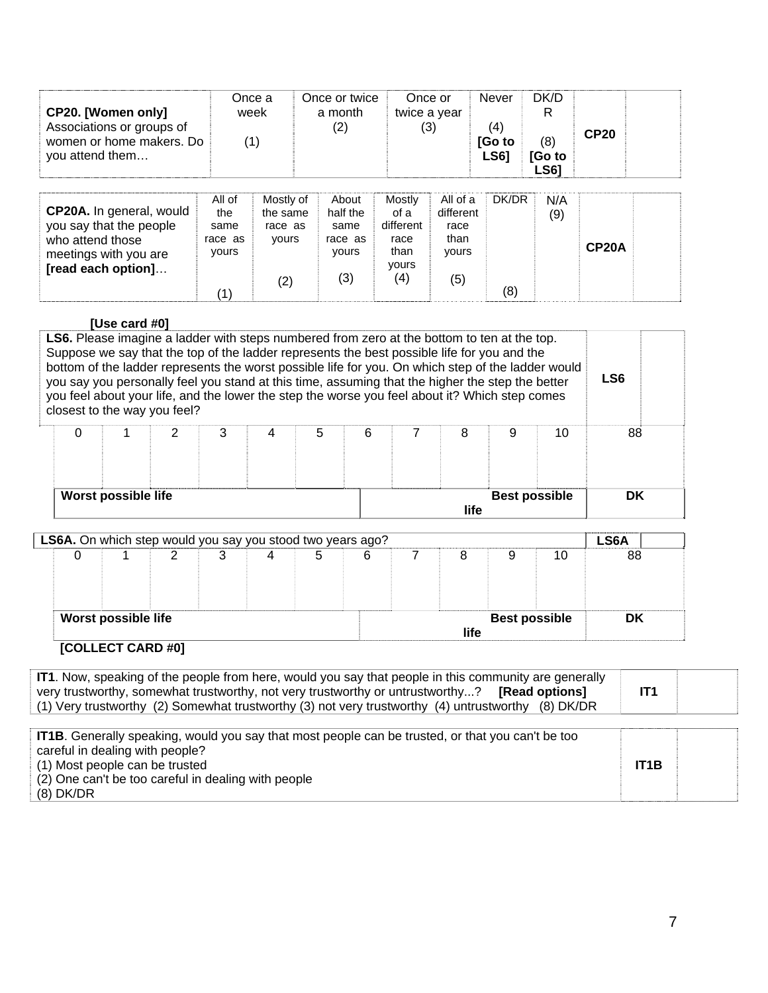| CP20. [Women only]<br>Associations or groups of<br>women or home makers. Do<br>you attend them                         |                                                  | Once a<br>week<br>(1)                            | Once or twice<br>a month<br>(2)                      |                                                             | Once or<br>twice a year<br>(3)                        | <b>Never</b><br>(4)<br>[Go to<br><b>LS61</b> | DK/D<br>R<br>(8)<br>[Go to<br><b>LS61</b> | <b>CP20</b>        |  |
|------------------------------------------------------------------------------------------------------------------------|--------------------------------------------------|--------------------------------------------------|------------------------------------------------------|-------------------------------------------------------------|-------------------------------------------------------|----------------------------------------------|-------------------------------------------|--------------------|--|
| CP20A. In general, would<br>you say that the people<br>who attend those<br>meetings with you are<br>[read each option] | All of<br>the<br>same<br>race as<br>yours<br>(1) | Mostly of<br>the same<br>race as<br>yours<br>(2) | About<br>half the<br>same<br>race as<br>yours<br>(3) | Mostly<br>of a<br>different<br>race<br>than<br>yours<br>(4) | All of a<br>different<br>race<br>than<br>yours<br>(5) | DK/DR<br>(8)                                 | N/A<br>(9)                                | CP <sub>20</sub> A |  |

#### **[Use card #0]**

| <b>LS6.</b> Please imagine a ladder with steps numbered from zero at the bottom to ten at the top.<br>Suppose we say that the top of the ladder represents the best possible life for you and the<br>bottom of the ladder represents the worst possible life for you. On which step of the ladder would<br>LS <sub>6</sub><br>you say you personally feel you stand at this time, assuming that the higher the step the better<br>you feel about your life, and the lower the step the worse you feel about it? Which step comes<br>closest to the way you feel? |                                             |  |  |  |  |  |  |  |  |  |  |    |
|------------------------------------------------------------------------------------------------------------------------------------------------------------------------------------------------------------------------------------------------------------------------------------------------------------------------------------------------------------------------------------------------------------------------------------------------------------------------------------------------------------------------------------------------------------------|---------------------------------------------|--|--|--|--|--|--|--|--|--|--|----|
| 0                                                                                                                                                                                                                                                                                                                                                                                                                                                                                                                                                                | 88<br>5<br>3<br>6<br>8<br>2<br>9<br>10<br>4 |  |  |  |  |  |  |  |  |  |  |    |
| Worst possible life<br><b>Best possible</b><br>life                                                                                                                                                                                                                                                                                                                                                                                                                                                                                                              |                                             |  |  |  |  |  |  |  |  |  |  | DK |

|                     | LS6A. On which step would you say you stood two years ago? |   |   |      |                      |    | <b>LS6A</b> |
|---------------------|------------------------------------------------------------|---|---|------|----------------------|----|-------------|
|                     |                                                            | 4 | 6 | 8    |                      | 10 | 88          |
|                     |                                                            |   |   |      |                      |    |             |
|                     |                                                            |   |   |      |                      |    |             |
| Worst possible life |                                                            |   |   |      | <b>Best possible</b> |    | DK          |
|                     |                                                            |   |   | life |                      |    |             |

### **[COLLECT CARD #0]**

| <b>IT1.</b> Now, speaking of the people from here, would you say that people in this community are generally |                 |  |
|--------------------------------------------------------------------------------------------------------------|-----------------|--|
| very trustworthy, somewhat trustworthy, not very trustworthy or untrustworthy? [Read options]                | IT <sub>1</sub> |  |
| (1) Very trustworthy (2) Somewhat trustworthy (3) not very trustworthy (4) untrustworthy (8) DK/DR           |                 |  |

| <b>IT1B.</b> Generally speaking, would you say that most people can be trusted, or that you can't be too |                   |  |
|----------------------------------------------------------------------------------------------------------|-------------------|--|
| careful in dealing with people?                                                                          |                   |  |
| (1) Most people can be trusted                                                                           | IT <sub>1</sub> B |  |
| (2) One can't be too careful in dealing with people                                                      |                   |  |
| $(8)$ DK/DR                                                                                              |                   |  |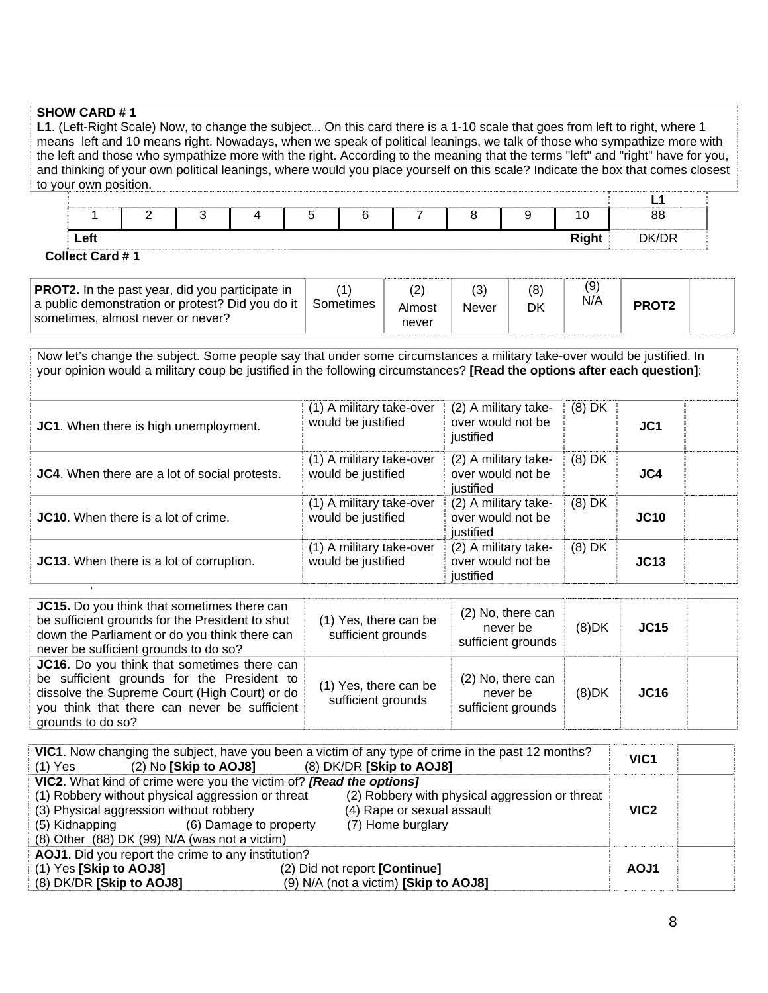#### **SHOW CARD # 1**

**L1**. (Left-Right Scale) Now, to change the subject... On this card there is a 1-10 scale that goes from left to right, where 1 means left and 10 means right. Nowadays, when we speak of political leanings, we talk of those who sympathize more with the left and those who sympathize more with the right. According to the meaning that the terms "left" and "right" have for you, and thinking of your own political leanings, where would you place yourself on this scale? Indicate the box that comes closest to your own position.

|                 | - |  |  |  | Ί            | 88    |
|-----------------|---|--|--|--|--------------|-------|
| Left            |   |  |  |  | <b>Right</b> | DK/DR |
| Collect Card #1 |   |  |  |  |              |       |

| <b>PROT2.</b> In the past year, did you participate in<br>a public demonstration or protest? Did you do it  <br>sometimes, almost never or never? | <sup>⊦</sup> Sometimes | Almost<br>never | Never | (8)<br>DK | (9)<br>N/A | PROT <sub>2</sub> |  |
|---------------------------------------------------------------------------------------------------------------------------------------------------|------------------------|-----------------|-------|-----------|------------|-------------------|--|
|---------------------------------------------------------------------------------------------------------------------------------------------------|------------------------|-----------------|-------|-----------|------------|-------------------|--|

Now let's change the subject. Some people say that under some circumstances a military take-over would be justified. In your opinion would a military coup be justified in the following circumstances? **[Read the options after each question]**:

| JC1. When there is high unemployment.         | (1) A military take-over<br>would be justified | (2) A military take-<br>over would not be<br>justified | $(8)$ DK | JC <sub>1</sub> |  |
|-----------------------------------------------|------------------------------------------------|--------------------------------------------------------|----------|-----------------|--|
| JC4. When there are a lot of social protests. | (1) A military take-over<br>would be justified | (2) A military take-<br>over would not be<br>justified | $(8)$ DK | JC4             |  |
| <b>JC10.</b> When there is a lot of crime.    | (1) A military take-over<br>would be justified | (2) A military take-<br>over would not be<br>justified | $(8)$ DK | <b>JC10</b>     |  |
| JC13. When there is a lot of corruption.      | (1) A military take-over<br>would be justified | (2) A military take-<br>over would not be<br>justified | $(8)$ DK | JC13            |  |

| JC15. Do you think that sometimes there can<br>be sufficient grounds for the President to shut<br>down the Parliament or do you think there can<br>never be sufficient grounds to do so?                        | (1) Yes, there can be<br>sufficient grounds | (2) No, there can<br>never be<br>sufficient grounds | (8)DK    | <b>JC15</b> |  |
|-----------------------------------------------------------------------------------------------------------------------------------------------------------------------------------------------------------------|---------------------------------------------|-----------------------------------------------------|----------|-------------|--|
| JC16. Do you think that sometimes there can<br>be sufficient grounds for the President to<br>dissolve the Supreme Court (High Court) or do<br>you think that there can never be sufficient<br>grounds to do so? | (1) Yes, there can be<br>sufficient grounds | (2) No, there can<br>never be<br>sufficient grounds | $(8)$ DK | <b>JC16</b> |  |

| (2) No [Skip to AOJ8] (8) DK/DR [Skip to AOJ8]<br>(1) Yes                                                                                                                                                                                                           | VIC1. Now changing the subject, have you been a victim of any type of crime in the past 12 months? | VIC <sub>1</sub> |  |
|---------------------------------------------------------------------------------------------------------------------------------------------------------------------------------------------------------------------------------------------------------------------|----------------------------------------------------------------------------------------------------|------------------|--|
| VIC2. What kind of crime were you the victim of? [Read the options]<br>(1) Robbery without physical aggression or threat<br>(3) Physical aggression without robbery<br>(5) Kidnapping (6) Damage to property<br>$(8)$ Other $(88)$ DK $(99)$ N/A (was not a victim) | (2) Robbery with physical aggression or threat<br>(4) Rape or sexual assault<br>(7) Home burglary  | VIC <sub>2</sub> |  |
| AOJ1. Did you report the crime to any institution?                                                                                                                                                                                                                  |                                                                                                    |                  |  |
| (1) Yes [Skip to AOJ8]<br>(8) DK/DR [Skip to AOJ8]                                                                                                                                                                                                                  | (2) Did not report [Continue]<br>(9) N/A (not a victim) [Skip to AOJ8]                             | AOJ1             |  |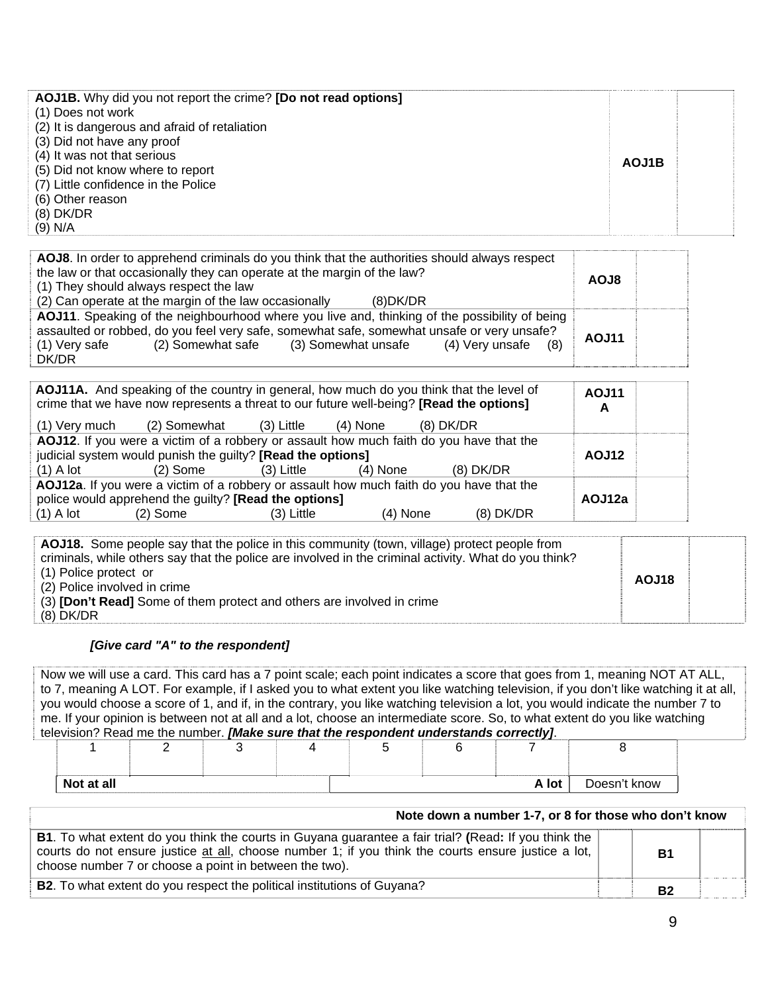| (1) Does not work<br>(2) It is dangerous and afraid of retaliation<br>(3) Did not have any proof<br>(4) It was not that serious<br>AOJ1B<br>(5) Did not know where to report<br>(7) Little confidence in the Police<br>(6) Other reason<br>$(8)$ DK/DR<br>(9) N/A | <b>AOJ1B.</b> Why did you not report the crime? <b>[Do not read options]</b> |  |
|-------------------------------------------------------------------------------------------------------------------------------------------------------------------------------------------------------------------------------------------------------------------|------------------------------------------------------------------------------|--|
|-------------------------------------------------------------------------------------------------------------------------------------------------------------------------------------------------------------------------------------------------------------------|------------------------------------------------------------------------------|--|

| AOJ8. In order to apprehend criminals do you think that the authorities should always respect<br>the law or that occasionally they can operate at the margin of the law?<br>(1) They should always respect the law<br>(2) Can operate at the margin of the law occasionally<br>(8)DK/DR      | <b>AOJ8</b> |  |
|----------------------------------------------------------------------------------------------------------------------------------------------------------------------------------------------------------------------------------------------------------------------------------------------|-------------|--|
| AOJ11. Speaking of the neighbourhood where you live and, thinking of the possibility of being<br>assaulted or robbed, do you feel very safe, somewhat safe, somewhat unsafe or very unsafe?<br>(2) Somewhat safe<br>(3) Somewhat unsafe<br>(1) Very safe<br>$(4)$ Very unsafe $(8)$<br>DK/DR | AOJ11       |  |

| AOJ11A. And speaking of the country in general, how much do you think that the level of<br>crime that we have now represents a threat to our future well-being? [Read the options] | <b>AOJ11</b><br>A |  |
|------------------------------------------------------------------------------------------------------------------------------------------------------------------------------------|-------------------|--|
| (2) Somewhat<br>(1) Very much<br>$(8)$ DK/DR<br>(3) Little<br>(4) None                                                                                                             |                   |  |
| AOJ12. If you were a victim of a robbery or assault how much faith do you have that the                                                                                            |                   |  |
| judicial system would punish the guilty? [Read the options]                                                                                                                        | AOJ12             |  |
| $(8)$ DK/DR<br>$(1)$ A lot<br>$(2)$ Some<br>$(3)$ Little<br>$(4)$ None                                                                                                             |                   |  |
| AOJ12a. If you were a victim of a robbery or assault how much faith do you have that the                                                                                           |                   |  |
| police would apprehend the guilty? [Read the options]                                                                                                                              | AOJ12a            |  |
| $(8)$ DK/DR<br>$(1)$ A lot<br>$(2)$ Some<br>(3) Little<br>$(4)$ None                                                                                                               |                   |  |

| AOJ18. Some people say that the police in this community (town, village) protect people from<br>criminals, while others say that the police are involved in the criminal activity. What do you think?<br>(1) Police protect or<br>(2) Police involved in crime<br>(3) <b>[Don't Read]</b> Some of them protect and others are involved in crime<br>(8) DK/DR | AOJ18 |  |
|--------------------------------------------------------------------------------------------------------------------------------------------------------------------------------------------------------------------------------------------------------------------------------------------------------------------------------------------------------------|-------|--|
|--------------------------------------------------------------------------------------------------------------------------------------------------------------------------------------------------------------------------------------------------------------------------------------------------------------------------------------------------------------|-------|--|

#### *[Give card "A" to the respondent]*

Now we will use a card. This card has a 7 point scale; each point indicates a score that goes from 1, meaning NOT AT ALL, to 7, meaning A LOT. For example, if I asked you to what extent you like watching television, if you don't like watching it at all, you would choose a score of 1, and if, in the contrary, you like watching television a lot, you would indicate the number 7 to me. If your opinion is between not at all and a lot, choose an intermediate score. So, to what extent do you like watching television? Read me the number. *[Make sure that the respondent understands correctly]*.

| Not at all |  |  | A lot | Doesn't know |
|------------|--|--|-------|--------------|

| Note down a number 1-7, or 8 for those who don't know                                                                                                                                                                                                                        |           |  |
|------------------------------------------------------------------------------------------------------------------------------------------------------------------------------------------------------------------------------------------------------------------------------|-----------|--|
| <b>B1.</b> To what extent do you think the courts in Guyana guarantee a fair trial? (Read: If you think the<br>courts do not ensure justice at all, choose number 1; if you think the courts ensure justice a lot,<br>choose number 7 or choose a point in between the two). | <b>B1</b> |  |
| <b>B2.</b> To what extent do you respect the political institutions of Guyana?                                                                                                                                                                                               | <b>B2</b> |  |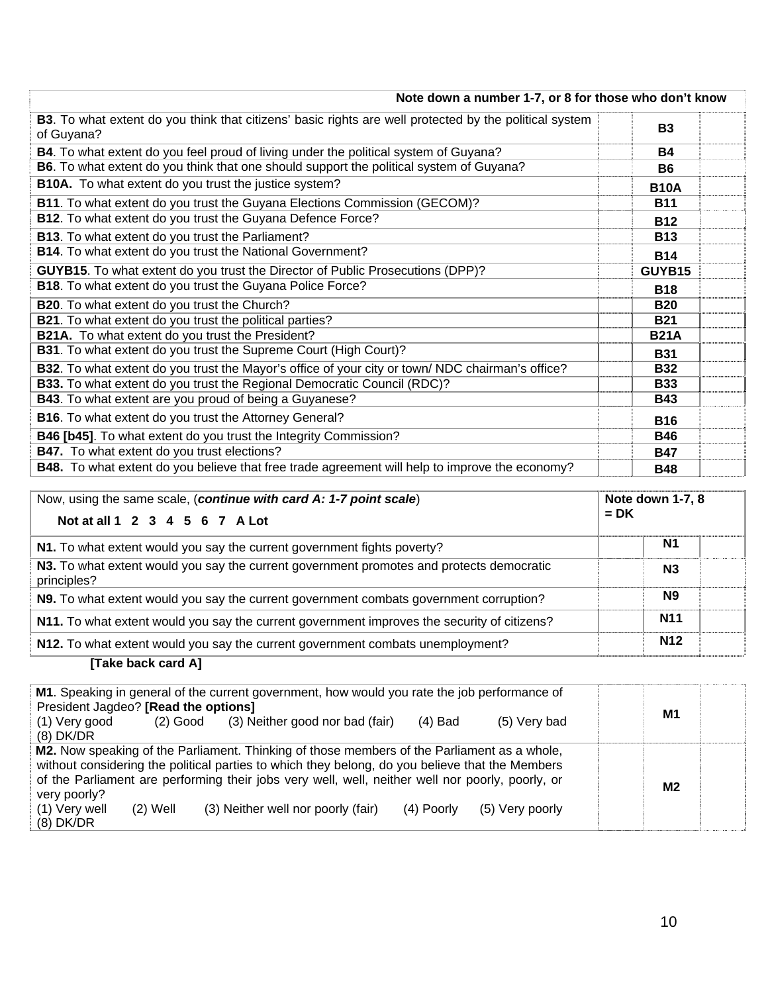| Note down a number 1-7, or 8 for those who don't know                                                                |             |
|----------------------------------------------------------------------------------------------------------------------|-------------|
| B3. To what extent do you think that citizens' basic rights are well protected by the political system<br>of Guyana? | <b>B3</b>   |
| B4. To what extent do you feel proud of living under the political system of Guyana?                                 | <b>B4</b>   |
| B6. To what extent do you think that one should support the political system of Guyana?                              | <b>B6</b>   |
| B10A. To what extent do you trust the justice system?                                                                | <b>B10A</b> |
| B11. To what extent do you trust the Guyana Elections Commission (GECOM)?                                            | <b>B11</b>  |
| B12. To what extent do you trust the Guyana Defence Force?                                                           | <b>B12</b>  |
| B13. To what extent do you trust the Parliament?                                                                     | <b>B13</b>  |
| B14. To what extent do you trust the National Government?                                                            | <b>B14</b>  |
| GUYB15. To what extent do you trust the Director of Public Prosecutions (DPP)?                                       | GUYB15      |
| B18. To what extent do you trust the Guyana Police Force?                                                            | <b>B18</b>  |
| B20. To what extent do you trust the Church?                                                                         | <b>B20</b>  |
| <b>B21</b> . To what extent do you trust the political parties?                                                      | <b>B21</b>  |
| B21A. To what extent do you trust the President?                                                                     | <b>B21A</b> |
| B31. To what extent do you trust the Supreme Court (High Court)?                                                     | <b>B31</b>  |
| B32. To what extent do you trust the Mayor's office of your city or town/ NDC chairman's office?                     | <b>B32</b>  |
| B33. To what extent do you trust the Regional Democratic Council (RDC)?                                              | <b>B33</b>  |
| <b>B43</b> . To what extent are you proud of being a Guyanese?                                                       | <b>B43</b>  |
| B16. To what extent do you trust the Attorney General?                                                               | <b>B16</b>  |
| B46 [b45]. To what extent do you trust the Integrity Commission?                                                     | <b>B46</b>  |
| B47. To what extent do you trust elections?                                                                          | <b>B47</b>  |
| <b>B48.</b> To what extent do you believe that free trade agreement will help to improve the economy?                | <b>B48</b>  |

| Now, using the same scale, (continue with card A: 1-7 point scale)                                        | Note down 1-7, 8 |  |
|-----------------------------------------------------------------------------------------------------------|------------------|--|
| Not at all 1 2 3 4 5 6 7 A Lot                                                                            | $= DK$           |  |
| N1. To what extent would you say the current government fights poverty?                                   | <b>N1</b>        |  |
| N3. To what extent would you say the current government promotes and protects democratic<br>principles?   | N <sub>3</sub>   |  |
| N9. To what extent would you say the current government combats government corruption?                    | N <sub>9</sub>   |  |
| <b>N11</b><br>N11. To what extent would you say the current government improves the security of citizens? |                  |  |
| N12. To what extent would you say the current government combats unemployment?                            | <b>N12</b>       |  |

### **[Take back card A]**

| M1. Speaking in general of the current government, how would you rate the job performance of<br>President Jagdeo? [Read the options]                                                                                                                                                                                                                                                                   |            |                 |    |  |
|--------------------------------------------------------------------------------------------------------------------------------------------------------------------------------------------------------------------------------------------------------------------------------------------------------------------------------------------------------------------------------------------------------|------------|-----------------|----|--|
| (3) Neither good nor bad (fair)<br>(1) Very good<br>$(2)$ Good<br>$(8)$ DK/DR                                                                                                                                                                                                                                                                                                                          | $(4)$ Bad  | (5) Very bad    | M1 |  |
| M2. Now speaking of the Parliament. Thinking of those members of the Parliament as a whole,<br>without considering the political parties to which they belong, do you believe that the Members<br>of the Parliament are performing their jobs very well, well, neither well nor poorly, poorly, or<br>very poorly?<br>(3) Neither well nor poorly (fair)<br>(1) Very well<br>$(2)$ Well<br>$(8)$ DK/DR | (4) Poorly | (5) Very poorly | M2 |  |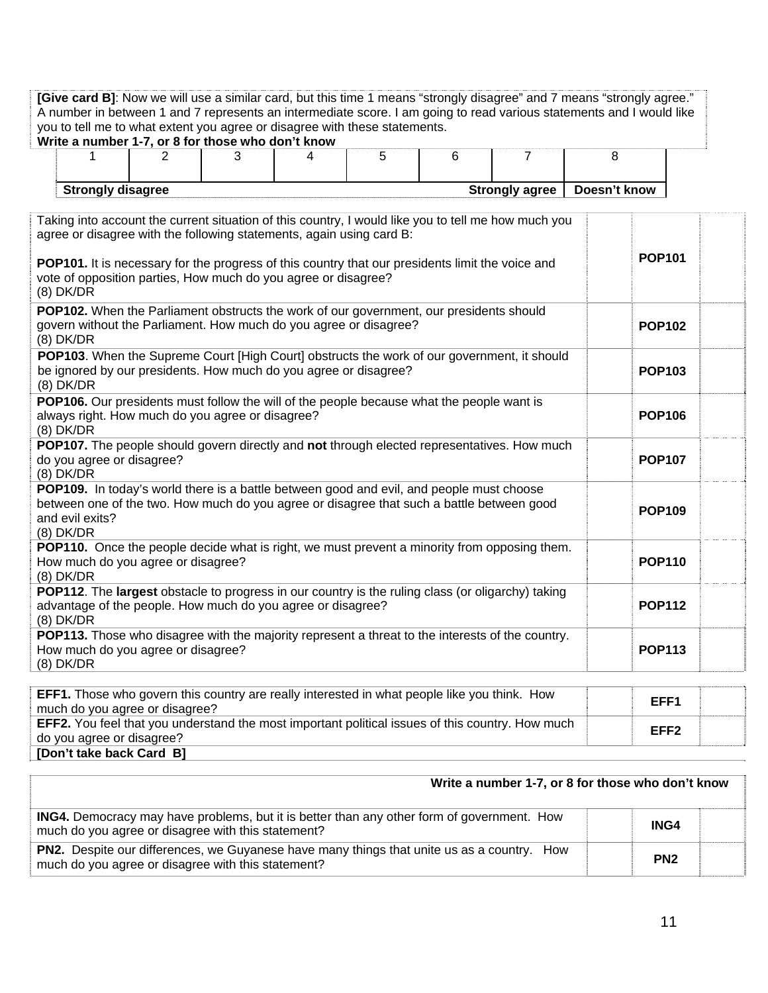| [Give card B]: Now we will use a similar card, but this time 1 means "strongly disagree" and 7 means "strongly agree."<br>A number in between 1 and 7 represents an intermediate score. I am going to read various statements and I would like<br>you to tell me to what extent you agree or disagree with these statements.<br>Write a number 1-7, or 8 for those who don't know |   |   |   |   |   |   |   |                  |  |  |  |
|-----------------------------------------------------------------------------------------------------------------------------------------------------------------------------------------------------------------------------------------------------------------------------------------------------------------------------------------------------------------------------------|---|---|---|---|---|---|---|------------------|--|--|--|
| 1                                                                                                                                                                                                                                                                                                                                                                                 | 2 | 3 | 4 | 5 | 6 | 7 | 8 |                  |  |  |  |
|                                                                                                                                                                                                                                                                                                                                                                                   |   |   |   |   |   |   |   |                  |  |  |  |
| Doesn't know<br><b>Strongly disagree</b><br><b>Strongly agree</b>                                                                                                                                                                                                                                                                                                                 |   |   |   |   |   |   |   |                  |  |  |  |
| Taking into account the current situation of this country, I would like you to tell me how much you<br>agree or disagree with the following statements, again using card B:                                                                                                                                                                                                       |   |   |   |   |   |   |   | <b>POP101</b>    |  |  |  |
| POP101. It is necessary for the progress of this country that our presidents limit the voice and<br>vote of opposition parties, How much do you agree or disagree?<br>$(8)$ DK/DR                                                                                                                                                                                                 |   |   |   |   |   |   |   |                  |  |  |  |
| POP102. When the Parliament obstructs the work of our government, our presidents should<br>govern without the Parliament. How much do you agree or disagree?<br>(8) DK/DR                                                                                                                                                                                                         |   |   |   |   |   |   |   | <b>POP102</b>    |  |  |  |
| POP103. When the Supreme Court [High Court] obstructs the work of our government, it should<br>be ignored by our presidents. How much do you agree or disagree?<br>$(8)$ DK/DR                                                                                                                                                                                                    |   |   |   |   |   |   |   | <b>POP103</b>    |  |  |  |
| POP106. Our presidents must follow the will of the people because what the people want is<br>always right. How much do you agree or disagree?<br><b>POP106</b><br>$(8)$ DK/DR                                                                                                                                                                                                     |   |   |   |   |   |   |   |                  |  |  |  |
| POP107. The people should govern directly and not through elected representatives. How much<br>do you agree or disagree?<br>$(8)$ DK/DR                                                                                                                                                                                                                                           |   |   |   |   |   |   |   | <b>POP107</b>    |  |  |  |
| POP109. In today's world there is a battle between good and evil, and people must choose<br>between one of the two. How much do you agree or disagree that such a battle between good<br>and evil exits?<br>$(8)$ DK/DR                                                                                                                                                           |   |   |   |   |   |   |   | <b>POP109</b>    |  |  |  |
| POP110. Once the people decide what is right, we must prevent a minority from opposing them.<br>How much do you agree or disagree?<br>(8) DK/DR                                                                                                                                                                                                                                   |   |   |   |   |   |   |   | <b>POP110</b>    |  |  |  |
| POP112. The largest obstacle to progress in our country is the ruling class (or oligarchy) taking<br>advantage of the people. How much do you agree or disagree?<br><b>POP112</b><br>(8) DK/DR                                                                                                                                                                                    |   |   |   |   |   |   |   |                  |  |  |  |
| POP113. Those who disagree with the majority represent a threat to the interests of the country.<br>How much do you agree or disagree?<br><b>POP113</b><br>$(8)$ DK/DR                                                                                                                                                                                                            |   |   |   |   |   |   |   |                  |  |  |  |
| EFF1. Those who govern this country are really interested in what people like you think. How<br>much do you agree or disagree?                                                                                                                                                                                                                                                    |   |   |   |   |   |   |   | EFF1             |  |  |  |
| EFF2. You feel that you understand the most important political issues of this country. How much<br>do you agree or disagree?                                                                                                                                                                                                                                                     |   |   |   |   |   |   |   | EFF <sub>2</sub> |  |  |  |

do you agree or disagree?<br> **[Don't take back Card B]** 

| Write a number 1-7, or 8 for those who don't know                                                                                                       |                 |  |  |  |
|---------------------------------------------------------------------------------------------------------------------------------------------------------|-----------------|--|--|--|
| <b>ING4.</b> Democracy may have problems, but it is better than any other form of government. How<br>much do you agree or disagree with this statement? | ING4            |  |  |  |
| <b>PN2.</b> Despite our differences, we Guyanese have many things that unite us as a country. How<br>much do you agree or disagree with this statement? | PN <sub>2</sub> |  |  |  |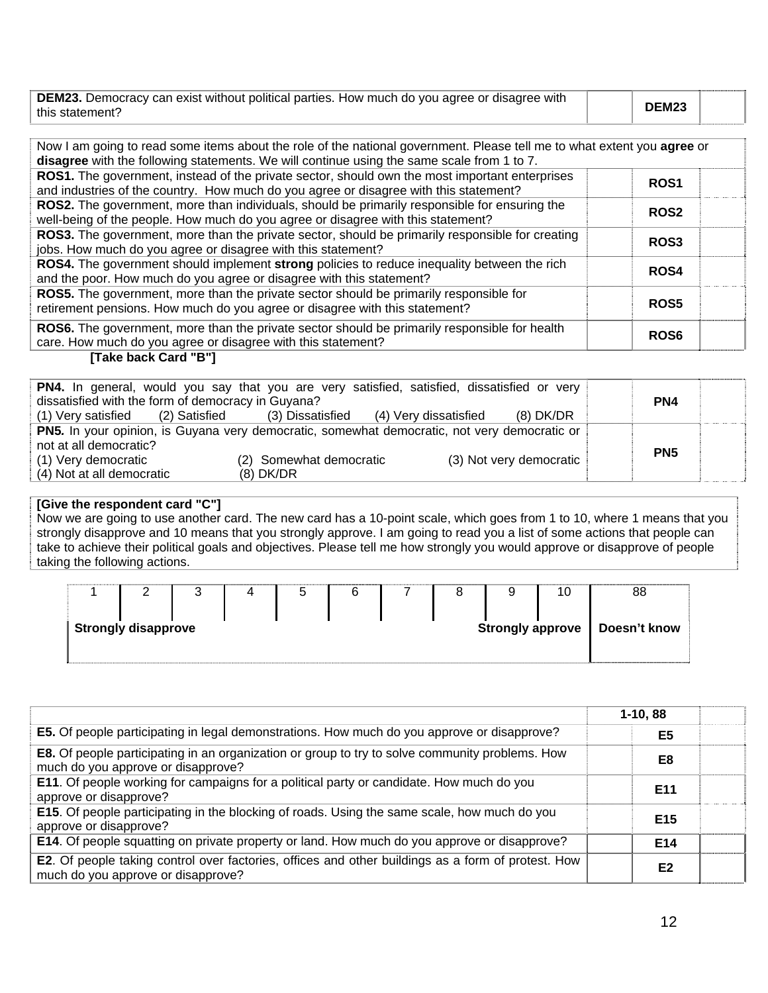| <b>DEM23.</b> Democracy can exist without political parties. How much do you agree or disagree with |       |  |
|-----------------------------------------------------------------------------------------------------|-------|--|
| this statement?                                                                                     | DEM23 |  |

| Now I am going to read some items about the role of the national government. Please tell me to what extent you agree or<br>disagree with the following statements. We will continue using the same scale from 1 to 7. |                  |  |
|-----------------------------------------------------------------------------------------------------------------------------------------------------------------------------------------------------------------------|------------------|--|
| ROS1. The government, instead of the private sector, should own the most important enterprises<br>and industries of the country. How much do you agree or disagree with this statement?                               | ROS <sub>1</sub> |  |
| ROS2. The government, more than individuals, should be primarily responsible for ensuring the<br>well-being of the people. How much do you agree or disagree with this statement?                                     | <b>ROS2</b>      |  |
| ROS3. The government, more than the private sector, should be primarily responsible for creating<br>jobs. How much do you agree or disagree with this statement?                                                      | ROS <sub>3</sub> |  |
| ROS4. The government should implement strong policies to reduce inequality between the rich<br>and the poor. How much do you agree or disagree with this statement?                                                   | <b>ROS4</b>      |  |
| ROS5. The government, more than the private sector should be primarily responsible for<br>retirement pensions. How much do you agree or disagree with this statement?                                                 | ROS <sub>5</sub> |  |
| <b>ROS6.</b> The government, more than the private sector should be primarily responsible for health<br>care. How much do you agree or disagree with this statement?                                                  | ROS <sub>6</sub> |  |

#### **[Take back Card "B"]**

| PN4. In general, would you say that you are very satisfied, satisfied, dissatisfied or very         |                                        |                         |  |  |  |  |
|-----------------------------------------------------------------------------------------------------|----------------------------------------|-------------------------|--|--|--|--|
| dissatisfied with the form of democracy in Guyana?                                                  |                                        | PN4                     |  |  |  |  |
| (1) Very satisfied<br>(2) Satisfied                                                                 | (3) Dissatisfied (4) Very dissatisfied | $(8)$ DK/DR             |  |  |  |  |
| <b>PN5.</b> In your opinion, is Guyana very democratic, somewhat democratic, not very democratic or |                                        |                         |  |  |  |  |
| not at all democratic?                                                                              |                                        | PN <sub>5</sub>         |  |  |  |  |
| (1) Very democratic                                                                                 | (2) Somewhat democratic                | (3) Not very democratic |  |  |  |  |
| (4) Not at all democratic                                                                           | $(8)$ DK/DR                            |                         |  |  |  |  |

#### **[Give the respondent card "C"]**

Now we are going to use another card. The new card has a 10-point scale, which goes from 1 to 10, where 1 means that you strongly disapprove and 10 means that you strongly approve. I am going to read you a list of some actions that people can take to achieve their political goals and objectives. Please tell me how strongly you would approve or disapprove of people taking the following actions.

|                                                | ⌒<br>∸ |  |  | G |  |  |  |  | 10           | 88 |
|------------------------------------------------|--------|--|--|---|--|--|--|--|--------------|----|
| <b>Strongly disapprove</b><br>Strongly approve |        |  |  |   |  |  |  |  | Doesn't know |    |

|                                                                                                                                              | $1-10, 88$      |  |
|----------------------------------------------------------------------------------------------------------------------------------------------|-----------------|--|
| <b>E5.</b> Of people participating in legal demonstrations. How much do you approve or disapprove?                                           | E <sub>5</sub>  |  |
| <b>E8.</b> Of people participating in an organization or group to try to solve community problems. How<br>much do you approve or disapprove? | E8              |  |
| E11. Of people working for campaigns for a political party or candidate. How much do you<br>approve or disapprove?                           | E11             |  |
| <b>E15.</b> Of people participating in the blocking of roads. Using the same scale, how much do you<br>approve or disapprove?                | E <sub>15</sub> |  |
| E14. Of people squatting on private property or land. How much do you approve or disapprove?                                                 | E14             |  |
| E2. Of people taking control over factories, offices and other buildings as a form of protest. How<br>much do you approve or disapprove?     | E <sub>2</sub>  |  |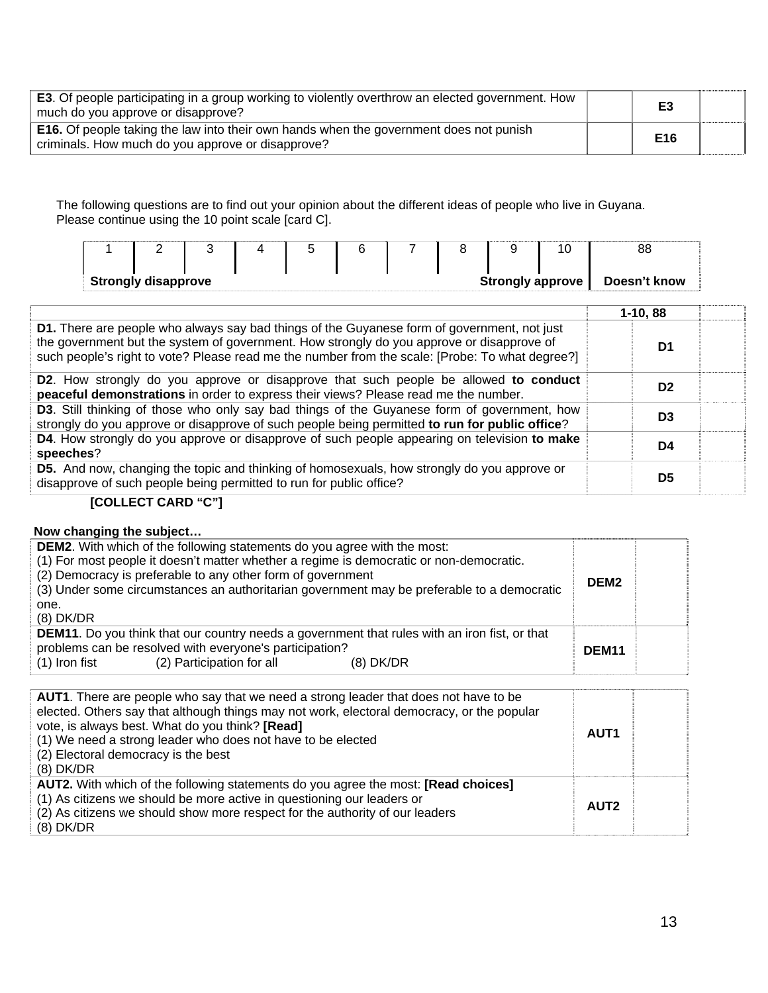| E3. Of people participating in a group working to violently overthrow an elected government. How<br>much do you approve or disapprove?             | E3  |  |
|----------------------------------------------------------------------------------------------------------------------------------------------------|-----|--|
| <b>E16.</b> Of people taking the law into their own hands when the government does not punish<br>criminals. How much do you approve or disapprove? | E16 |  |

The following questions are to find out your opinion about the different ideas of people who live in Guyana. Please continue using the 10 point scale [card C].

|                                                                                                                                                                                               |                                                                     | <b>Strongly disapprove</b> |  |  |  |                | <b>Strongly approve</b>                                                                                                                                                                                                                                                                     | 10 <sub>1</sub> | 88<br>Doesn't know |  |
|-----------------------------------------------------------------------------------------------------------------------------------------------------------------------------------------------|---------------------------------------------------------------------|----------------------------|--|--|--|----------------|---------------------------------------------------------------------------------------------------------------------------------------------------------------------------------------------------------------------------------------------------------------------------------------------|-----------------|--------------------|--|
|                                                                                                                                                                                               |                                                                     |                            |  |  |  |                |                                                                                                                                                                                                                                                                                             |                 |                    |  |
|                                                                                                                                                                                               |                                                                     |                            |  |  |  |                |                                                                                                                                                                                                                                                                                             |                 | $1-10, 88$         |  |
|                                                                                                                                                                                               |                                                                     |                            |  |  |  |                | D1. There are people who always say bad things of the Guyanese form of government, not just<br>the government but the system of government. How strongly do you approve or disapprove of<br>such people's right to vote? Please read me the number from the scale: [Probe: To what degree?] |                 | D1                 |  |
| <b>D2.</b> How strongly do you approve or disapprove that such people be allowed to conduct<br>peaceful demonstrations in order to express their views? Please read me the number.            |                                                                     |                            |  |  |  |                | D <sub>2</sub>                                                                                                                                                                                                                                                                              |                 |                    |  |
| D3. Still thinking of those who only say bad things of the Guyanese form of government, how<br>strongly do you approve or disapprove of such people being permitted to run for public office? |                                                                     |                            |  |  |  | D <sub>3</sub> |                                                                                                                                                                                                                                                                                             |                 |                    |  |
| D4. How strongly do you approve or disapprove of such people appearing on television to make<br>speeches?                                                                                     |                                                                     |                            |  |  |  |                | D <sub>4</sub>                                                                                                                                                                                                                                                                              |                 |                    |  |
|                                                                                                                                                                                               | disapprove of such people being permitted to run for public office? |                            |  |  |  |                | <b>D5.</b> And now, changing the topic and thinking of homosexuals, how strongly do you approve or                                                                                                                                                                                          |                 | D <sub>5</sub>     |  |

### **[COLLECT CARD "C"]**

#### **Now changing the subject…**

| <b>DEM2.</b> With which of the following statements do you agree with the most:<br>(1) For most people it doesn't matter whether a regime is democratic or non-democratic.<br>(2) Democracy is preferable to any other form of government<br>(3) Under some circumstances an authoritarian government may be preferable to a democratic<br>one.<br>$(8)$ DK/DR | DEM <sub>2</sub>  |  |
|----------------------------------------------------------------------------------------------------------------------------------------------------------------------------------------------------------------------------------------------------------------------------------------------------------------------------------------------------------------|-------------------|--|
| <b>DEM11.</b> Do you think that our country needs a government that rules with an iron fist, or that<br>problems can be resolved with everyone's participation?<br>(2) Participation for all<br>$(1)$ Iron fist<br>(8) DK/DR                                                                                                                                   | DEM <sub>11</sub> |  |

| AUT1. There are people who say that we need a strong leader that does not have to be<br>elected. Others say that although things may not work, electoral democracy, or the popular<br>vote, is always best. What do you think? [Read]<br>(1) We need a strong leader who does not have to be elected<br>(2) Electoral democracy is the best<br>$(8)$ DK/DR | AUT <sub>1</sub> |  |
|------------------------------------------------------------------------------------------------------------------------------------------------------------------------------------------------------------------------------------------------------------------------------------------------------------------------------------------------------------|------------------|--|
| AUT2. With which of the following statements do you agree the most: [Read choices]<br>(1) As citizens we should be more active in questioning our leaders or<br>(2) As citizens we should show more respect for the authority of our leaders<br>$(8)$ DK/DR                                                                                                | AUT <sub>2</sub> |  |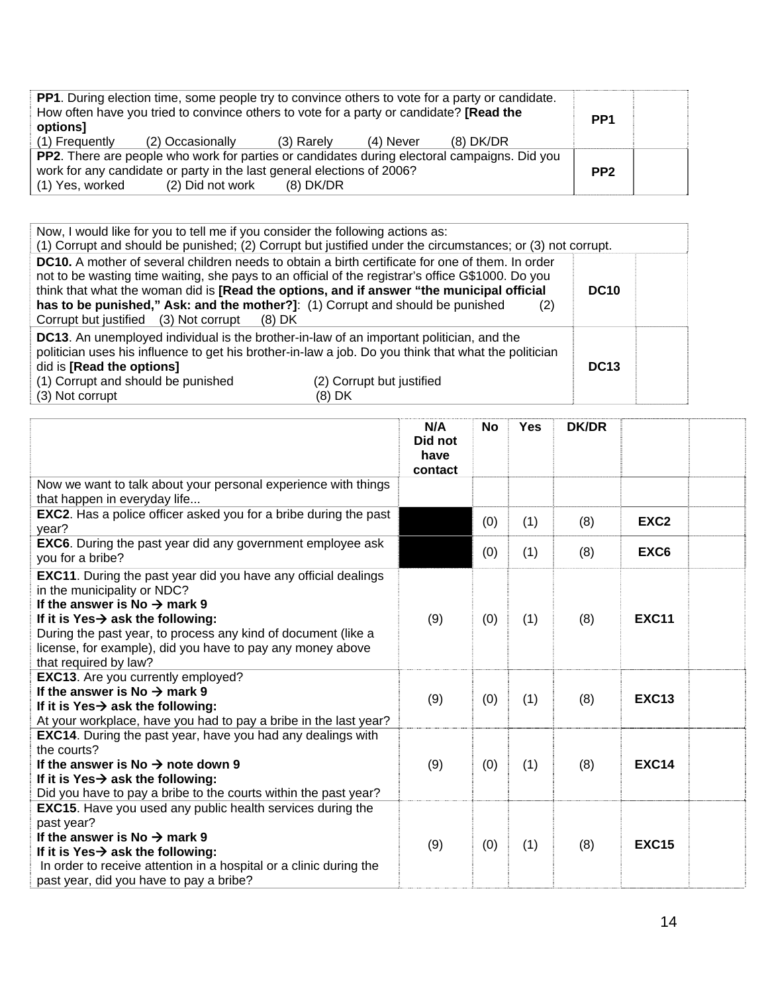| <b>PP1.</b> During election time, some people try to convince others to vote for a party or candidate. |                                                                                         |            |           |           |                 |  |
|--------------------------------------------------------------------------------------------------------|-----------------------------------------------------------------------------------------|------------|-----------|-----------|-----------------|--|
|                                                                                                        | How often have you tried to convince others to vote for a party or candidate? [Read the |            |           |           | PP <sub>1</sub> |  |
| options]                                                                                               |                                                                                         |            |           |           |                 |  |
| (1) Frequently                                                                                         | (2) Occasionally                                                                        | (3) Rarely | (4) Never | (8) DK/DR |                 |  |
| PP2. There are people who work for parties or candidates during electoral campaigns. Did you           |                                                                                         |            |           |           |                 |  |
| work for any candidate or party in the last general elections of 2006?                                 |                                                                                         |            |           |           |                 |  |
| (1) Yes, worked                                                                                        | (2) Did not work                                                                        | (8) DK/DR  |           |           |                 |  |

| Now, I would like for you to tell me if you consider the following actions as:                                                                                                        | (1) Corrupt and should be punished; (2) Corrupt but justified under the circumstances; or (3) not corrupt.                                                                                                                                                                                                       |             |  |
|---------------------------------------------------------------------------------------------------------------------------------------------------------------------------------------|------------------------------------------------------------------------------------------------------------------------------------------------------------------------------------------------------------------------------------------------------------------------------------------------------------------|-------------|--|
| has to be punished," Ask: and the mother?]: (1) Corrupt and should be punished<br>Corrupt but justified (3) Not corrupt<br>(8) DK                                                     | <b>DC10.</b> A mother of several children needs to obtain a birth certificate for one of them. In order<br>not to be wasting time waiting, she pays to an official of the registrar's office G\$1000. Do you<br>think that what the woman did is [Read the options, and if answer "the municipal official<br>(2) | <b>DC10</b> |  |
| <b>DC13.</b> An unemployed individual is the brother-in-law of an important politician, and the<br>did is [Read the options]<br>(1) Corrupt and should be punished<br>(3) Not corrupt | politician uses his influence to get his brother-in-law a job. Do you think that what the politician<br>(2) Corrupt but justified<br>(8) DK                                                                                                                                                                      | <b>DC13</b> |  |

|                                                                                                                                                                                                                                                                                                                                                           | N/A<br>Did not<br>have<br>contact | <b>No</b> | <b>Yes</b> | <b>DK/DR</b> |                  |  |
|-----------------------------------------------------------------------------------------------------------------------------------------------------------------------------------------------------------------------------------------------------------------------------------------------------------------------------------------------------------|-----------------------------------|-----------|------------|--------------|------------------|--|
| Now we want to talk about your personal experience with things<br>that happen in everyday life                                                                                                                                                                                                                                                            |                                   |           |            |              |                  |  |
| <b>EXC2.</b> Has a police officer asked you for a bribe during the past<br>year?                                                                                                                                                                                                                                                                          |                                   | (0)       | (1)        | (8)          | EXC <sub>2</sub> |  |
| <b>EXC6</b> . During the past year did any government employee ask<br>you for a bribe?                                                                                                                                                                                                                                                                    |                                   | (0)       | (1)        | (8)          | EXC6             |  |
| <b>EXC11.</b> During the past year did you have any official dealings<br>in the municipality or NDC?<br>If the answer is No $\rightarrow$ mark 9<br>If it is Yes $\rightarrow$ ask the following:<br>During the past year, to process any kind of document (like a<br>license, for example), did you have to pay any money above<br>that required by law? | (9)                               | (0)       | (1)        | (8)          | <b>EXC11</b>     |  |
| EXC13. Are you currently employed?<br>If the answer is No $\rightarrow$ mark 9<br>If it is Yes $\rightarrow$ ask the following:<br>At your workplace, have you had to pay a bribe in the last year?                                                                                                                                                       | (9)                               | (0)       | (1)        | (8)          | <b>EXC13</b>     |  |
| <b>EXC14.</b> During the past year, have you had any dealings with<br>the courts?<br>If the answer is No $\rightarrow$ note down 9<br>If it is Yes $\rightarrow$ ask the following:<br>Did you have to pay a bribe to the courts within the past year?                                                                                                    | (9)                               | (0)       | (1)        | (8)          | <b>EXC14</b>     |  |
| <b>EXC15.</b> Have you used any public health services during the<br>past year?<br>If the answer is No $\rightarrow$ mark 9<br>If it is Yes $\rightarrow$ ask the following:<br>In order to receive attention in a hospital or a clinic during the<br>past year, did you have to pay a bribe?                                                             | (9)                               | (0)       | (1)        | (8)          | <b>EXC15</b>     |  |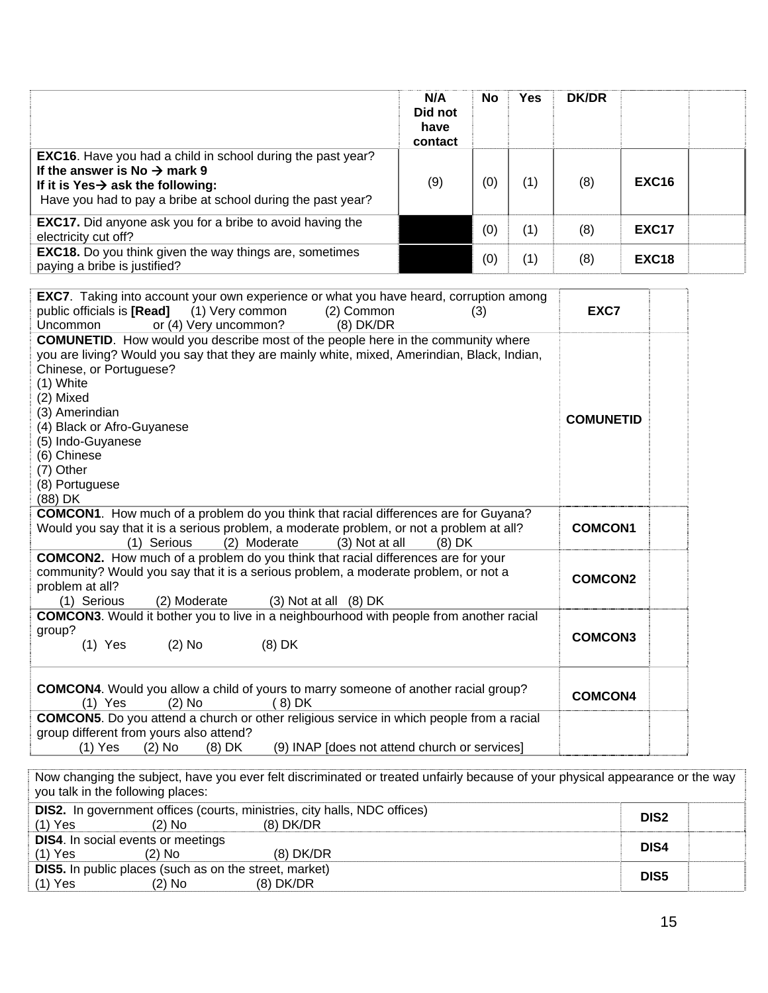|                                                                                                                                                                                                                                                                                                                                                                           | N/A<br>Did not<br>have<br>contact | No  | <b>Yes</b> | <b>DK/DR</b>     |                  |  |
|---------------------------------------------------------------------------------------------------------------------------------------------------------------------------------------------------------------------------------------------------------------------------------------------------------------------------------------------------------------------------|-----------------------------------|-----|------------|------------------|------------------|--|
| <b>EXC16.</b> Have you had a child in school during the past year?<br>If the answer is No $\rightarrow$ mark 9<br>If it is Yes $\rightarrow$ ask the following:<br>Have you had to pay a bribe at school during the past year?                                                                                                                                            | (9)                               | (0) | (1)        | (8)              | <b>EXC16</b>     |  |
| <b>EXC17.</b> Did anyone ask you for a bribe to avoid having the<br>electricity cut off?                                                                                                                                                                                                                                                                                  |                                   | (0) | (1)        | (8)              | <b>EXC17</b>     |  |
| EXC18. Do you think given the way things are, sometimes<br>paying a bribe is justified?                                                                                                                                                                                                                                                                                   |                                   | (0) | (1)        | (8)              | <b>EXC18</b>     |  |
| <b>EXC7.</b> Taking into account your own experience or what you have heard, corruption among<br>public officials is [Read]<br>(1) Very common<br>(2) Common<br>or (4) Very uncommon?<br>$(8)$ DK/DR<br>Uncommon                                                                                                                                                          |                                   | (3) |            | EXC7             |                  |  |
| <b>COMUNETID.</b> How would you describe most of the people here in the community where<br>you are living? Would you say that they are mainly white, mixed, Amerindian, Black, Indian,<br>Chinese, or Portuguese?<br>(1) White<br>(2) Mixed<br>(3) Amerindian<br>(4) Black or Afro-Guyanese<br>(5) Indo-Guyanese<br>(6) Chinese<br>(7) Other<br>(8) Portuguese<br>(88) DK |                                   |     |            | <b>COMUNETID</b> |                  |  |
| <b>COMCON1</b> . How much of a problem do you think that racial differences are for Guyana?<br>Would you say that it is a serious problem, a moderate problem, or not a problem at all?<br>(2) Moderate<br>(1) Serious<br>(3) Not at all                                                                                                                                  | $(8)$ DK                          |     |            | <b>COMCON1</b>   |                  |  |
| <b>COMCON2.</b> How much of a problem do you think that racial differences are for your<br>community? Would you say that it is a serious problem, a moderate problem, or not a<br>problem at all?<br>(1) Serious<br>(2) Moderate<br>$(3)$ Not at all $(8)$ DK                                                                                                             |                                   |     |            | <b>COMCON2</b>   |                  |  |
| <b>COMCON3</b> . Would it bother you to live in a neighbourhood with people from another racial<br>group?<br>$(1)$ Yes<br>$(2)$ No<br>$(8)$ DK                                                                                                                                                                                                                            |                                   |     |            | <b>COMCON3</b>   |                  |  |
| <b>COMCON4</b> . Would you allow a child of yours to marry someone of another racial group?<br>$(2)$ No<br>$(1)$ Yes<br>(8) DK                                                                                                                                                                                                                                            |                                   |     |            | <b>COMCON4</b>   |                  |  |
| <b>COMCON5</b> . Do you attend a church or other religious service in which people from a racial<br>group different from yours also attend?<br>$(1)$ Yes<br>$(2)$ No<br>(9) INAP [does not attend church or services]<br>$(8)$ DK                                                                                                                                         |                                   |     |            |                  |                  |  |
| Now changing the subject, have you ever felt discriminated or treated unfairly because of your physical appearance or the way<br>you talk in the following places:                                                                                                                                                                                                        |                                   |     |            |                  |                  |  |
| DIS2. In government offices (courts, ministries, city halls, NDC offices)<br>$(2)$ No<br>$(8)$ DK/DR<br>$(1)$ Yes                                                                                                                                                                                                                                                         |                                   |     |            |                  | DIS <sub>2</sub> |  |
| <b>DIS4.</b> In social events or meetings<br>$(2)$ No<br>$(8)$ DK/DR<br>(1) Yes                                                                                                                                                                                                                                                                                           |                                   |     |            |                  | DIS4             |  |

**DIS5.** In public places (such as on the street, market) **DIS5**<br>(1) Yes (2) No (8) DK/DR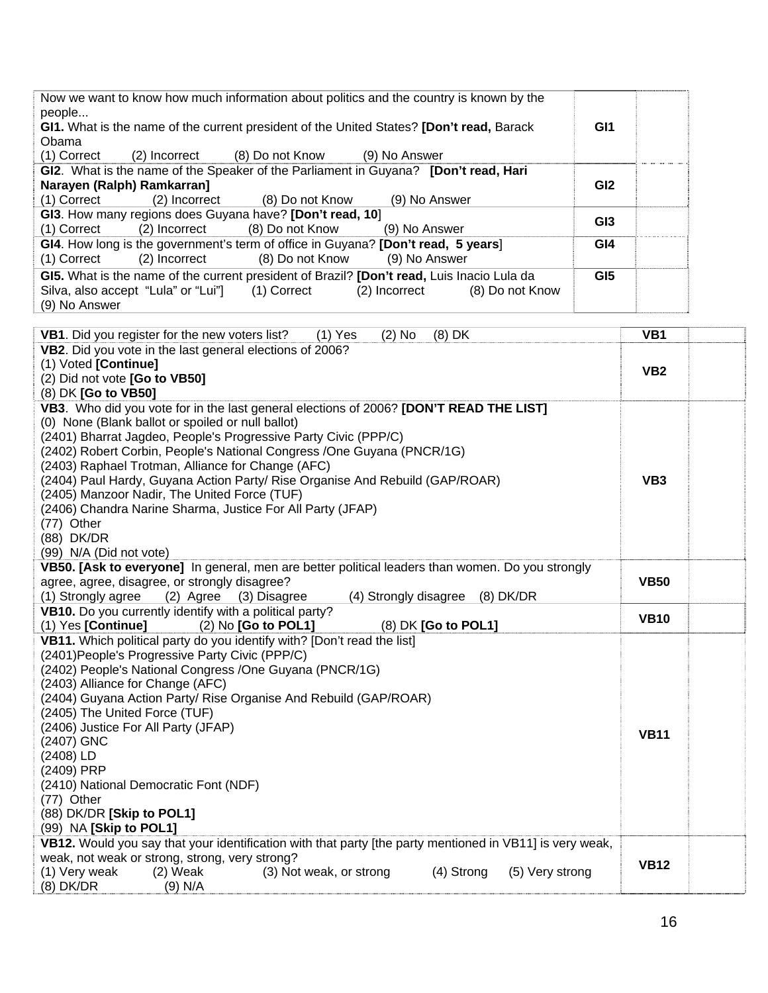| Now we want to know how much information about politics and the country is known by the<br>people<br>GI1. What is the name of the current president of the United States? [Don't read, Barack                                                                                                                                                                                                                                                                                | GI1             |                 |
|------------------------------------------------------------------------------------------------------------------------------------------------------------------------------------------------------------------------------------------------------------------------------------------------------------------------------------------------------------------------------------------------------------------------------------------------------------------------------|-----------------|-----------------|
| Obama                                                                                                                                                                                                                                                                                                                                                                                                                                                                        |                 |                 |
| (1) Correct<br>$(2)$ Incorrect $(8)$ Do not Know $(9)$ No Answer                                                                                                                                                                                                                                                                                                                                                                                                             |                 |                 |
| GI2. What is the name of the Speaker of the Parliament in Guyana? [Don't read, Hari                                                                                                                                                                                                                                                                                                                                                                                          |                 |                 |
| Narayen (Ralph) Ramkarran]                                                                                                                                                                                                                                                                                                                                                                                                                                                   | GI <sub>2</sub> |                 |
| (1) Correct<br>(9) No Answer<br>$(2)$ Incorrect $(8)$ Do not Know                                                                                                                                                                                                                                                                                                                                                                                                            |                 |                 |
| GI3. How many regions does Guyana have? [Don't read, 10]                                                                                                                                                                                                                                                                                                                                                                                                                     | GI <sub>3</sub> |                 |
| (1) Correct (2) Incorrect (8) Do not Know<br>(9) No Answer                                                                                                                                                                                                                                                                                                                                                                                                                   |                 |                 |
| GI4. How long is the government's term of office in Guyana? [Don't read, 5 years]<br>(9) No Answer<br>(1) Correct<br>(8) Do not Know<br>(2) Incorrect                                                                                                                                                                                                                                                                                                                        | GI <sub>4</sub> |                 |
| GI5. What is the name of the current president of Brazil? [Don't read, Luis Inacio Lula da<br>Silva, also accept "Lula" or "Lui"] (1) Correct<br>(2) Incorrect<br>(8) Do not Know<br>(9) No Answer                                                                                                                                                                                                                                                                           | GI <sub>5</sub> |                 |
| <b>VB1.</b> Did you register for the new voters list?<br>$(1)$ Yes<br>(2) No<br>$(8)$ DK<br>$\mathbf{V}$ DO, $\mathbf{D}_{\mathbf{u}}^{t}$ , $\mathbf{L}_{\mathbf{u}}^{t}$ , $\mathbf{L}_{\mathbf{u}}^{t}$ , $\mathbf{L}_{\mathbf{u}}^{t}$ , $\mathbf{L}_{\mathbf{u}}^{t}$ , $\mathbf{L}_{\mathbf{u}}^{t}$ , $\mathbf{L}_{\mathbf{u}}^{t}$ , $\mathbf{L}_{\mathbf{u}}^{t}$ , $\mathbf{L}_{\mathbf{u}}^{t}$ , $\mathbf{L}_{\mathbf{u}}^{t}$ , $\mathbf{L}_{\mathbf{u}}^{t}$ , |                 | VB <sub>1</sub> |

| VB2. Did you vote in the last general elections of 2006?                                                                                                   |  |
|------------------------------------------------------------------------------------------------------------------------------------------------------------|--|
| (1) Voted [Continue]<br>VB <sub>2</sub>                                                                                                                    |  |
| (2) Did not vote [Go to VB50]                                                                                                                              |  |
| (8) DK [Go to VB50]                                                                                                                                        |  |
| VB3. Who did you vote for in the last general elections of 2006? [DON'T READ THE LIST]                                                                     |  |
| (0) None (Blank ballot or spoiled or null ballot)                                                                                                          |  |
| (2401) Bharrat Jagdeo, People's Progressive Party Civic (PPP/C)                                                                                            |  |
| (2402) Robert Corbin, People's National Congress / One Guyana (PNCR/1G)                                                                                    |  |
| (2403) Raphael Trotman, Alliance for Change (AFC)                                                                                                          |  |
| (2404) Paul Hardy, Guyana Action Party/ Rise Organise And Rebuild (GAP/ROAR)<br>VB <sub>3</sub>                                                            |  |
| (2405) Manzoor Nadir, The United Force (TUF)                                                                                                               |  |
| (2406) Chandra Narine Sharma, Justice For All Party (JFAP)                                                                                                 |  |
| (77) Other                                                                                                                                                 |  |
| (88) DK/DR                                                                                                                                                 |  |
| (99) N/A (Did not vote)                                                                                                                                    |  |
| VB50. [Ask to everyone] In general, men are better political leaders than women. Do you strongly                                                           |  |
| agree, agree, disagree, or strongly disagree?<br><b>VB50</b>                                                                                               |  |
| (1) Strongly agree<br>(2) Agree (3) Disagree<br>(4) Strongly disagree (8) DK/DR                                                                            |  |
| VB10. Do you currently identify with a political party?<br><b>VB10</b>                                                                                     |  |
| (1) Yes [Continue]<br>$(2)$ No $[Go to POL1]$<br>(8) DK [Go to POL1]                                                                                       |  |
| VB11. Which political party do you identify with? [Don't read the list]                                                                                    |  |
| (2401) People's Progressive Party Civic (PPP/C)                                                                                                            |  |
| (2402) People's National Congress / One Guyana (PNCR/1G)                                                                                                   |  |
| (2403) Alliance for Change (AFC)                                                                                                                           |  |
| (2404) Guyana Action Party/ Rise Organise And Rebuild (GAP/ROAR)                                                                                           |  |
| (2405) The United Force (TUF)                                                                                                                              |  |
| (2406) Justice For All Party (JFAP)<br><b>VB11</b>                                                                                                         |  |
| (2407) GNC                                                                                                                                                 |  |
| (2408) LD                                                                                                                                                  |  |
| (2409) PRP                                                                                                                                                 |  |
| (2410) National Democratic Font (NDF)                                                                                                                      |  |
| (77) Other                                                                                                                                                 |  |
| (88) DK/DR [Skip to POL1]<br>(99) NA [Skip to POL1]                                                                                                        |  |
|                                                                                                                                                            |  |
| VB12. Would you say that your identification with that party [the party mentioned in VB11] is very weak,<br>weak, not weak or strong, strong, very strong? |  |
| <b>VB12</b><br>(1) Very weak<br>$(2)$ Weak<br>(3) Not weak, or strong<br>(4) Strong<br>(5) Very strong                                                     |  |
| $(8)$ DK/DR<br>$(9)$ N/A                                                                                                                                   |  |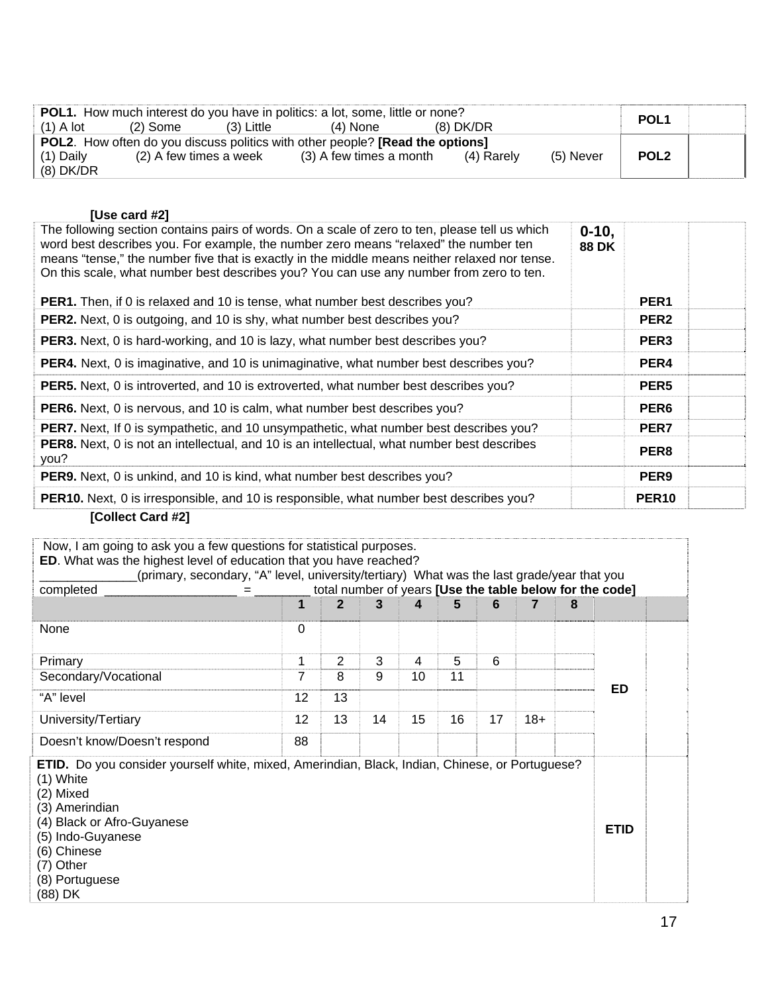|             |                        |            | <b>POL1.</b> How much interest do you have in politics: a lot, some, little or none?        |            |           | POL <sub>1</sub> |  |
|-------------|------------------------|------------|---------------------------------------------------------------------------------------------|------------|-----------|------------------|--|
| $(1)$ A lot | (2) Some               | (3) Little | $(4)$ None                                                                                  | (8) DK/DR  |           |                  |  |
|             |                        |            | <b>POL2.</b> How often do you discuss politics with other people? <b>[Read the options]</b> |            |           |                  |  |
| (1) Daily   | (2) A few times a week |            | (3) A few times a month                                                                     | (4) Rarely | (5) Never | POL <sub>2</sub> |  |
| $(8)$ DK/DR |                        |            |                                                                                             |            |           |                  |  |

#### **[Use card #2]**

| $0 - 10$<br><b>88 DK</b> | PER <sub>1</sub> |  |
|--------------------------|------------------|--|
|                          | PER <sub>2</sub> |  |
|                          | PER <sub>3</sub> |  |
|                          | PER4             |  |
|                          | PER <sub>5</sub> |  |
|                          | PER <sub>6</sub> |  |
|                          | PER7             |  |
|                          | PER8             |  |
|                          | PER <sub>9</sub> |  |
|                          | <b>PER10</b>     |  |
|                          |                  |  |

#### **[Collect Card #2]**

| Now, I am going to ask you a few questions for statistical purposes.<br>ED. What was the highest level of education that you have reached?<br>(primary, secondary, "A" level, university/tertiary) What was the last grade/year that you                         |                |                |    |    |    |    |       |   |             |  |
|------------------------------------------------------------------------------------------------------------------------------------------------------------------------------------------------------------------------------------------------------------------|----------------|----------------|----|----|----|----|-------|---|-------------|--|
| total number of years [Use the table below for the code]<br>completed                                                                                                                                                                                            |                |                |    |    |    |    |       |   |             |  |
|                                                                                                                                                                                                                                                                  | 1              |                | 3  | 4  | 5  | 6  |       | 8 |             |  |
| None                                                                                                                                                                                                                                                             | 0              |                |    |    |    |    |       |   |             |  |
| Primary                                                                                                                                                                                                                                                          | 1              | $\overline{2}$ | 3  | 4  | 5  | 6  |       |   |             |  |
| Secondary/Vocational                                                                                                                                                                                                                                             | $\overline{7}$ | 8              | 9  | 10 | 11 |    |       |   | ED.         |  |
| "A" level                                                                                                                                                                                                                                                        | 12             | 13             |    |    |    |    |       |   |             |  |
| University/Tertiary                                                                                                                                                                                                                                              | 12             | 13             | 14 | 15 | 16 | 17 | $18+$ |   |             |  |
| Doesn't know/Doesn't respond                                                                                                                                                                                                                                     | 88             |                |    |    |    |    |       |   |             |  |
| <b>ETID.</b> Do you consider yourself white, mixed, Amerindian, Black, Indian, Chinese, or Portuguese?<br>$(1)$ White<br>(2) Mixed<br>(3) Amerindian<br>(4) Black or Afro-Guyanese<br>(5) Indo-Guyanese<br>(6) Chinese<br>(7) Other<br>(8) Portuguese<br>(88) DK |                |                |    |    |    |    |       |   | <b>ETID</b> |  |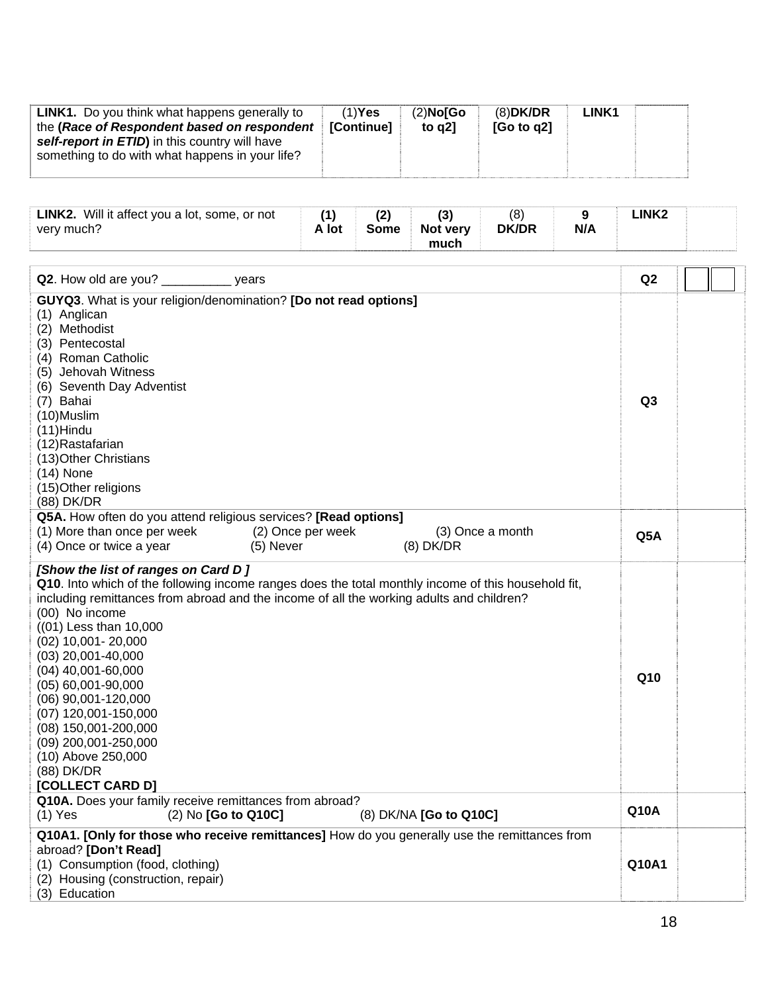| <b>LINK1.</b> Do you think what happens generally to<br>the (Race of Respondent based on respondent<br>self-report in ETID) in this country will have<br>something to do with what happens in your life? | $(1)$ Yes<br>[Continue] | $(2)$ No $\overline{G}$ o<br>to $q2$ ] | $(8)$ DK/DR<br>[Go to q2] | <b>LINK1</b> |  |
|----------------------------------------------------------------------------------------------------------------------------------------------------------------------------------------------------------|-------------------------|----------------------------------------|---------------------------|--------------|--|
|                                                                                                                                                                                                          |                         |                                        |                           |              |  |

| <b>LINK2.</b> Will it affect you a lot, some, or not<br>very much? | A lot | Some | Not very | (8)<br><b>DK/DR</b> | N/A | .INK2 |  |
|--------------------------------------------------------------------|-------|------|----------|---------------------|-----|-------|--|
|                                                                    |       |      | much     |                     |     |       |  |

| Q2. How old are you? _____________ years                                                                                                                                                                                                                                                                                                                                                                                                                                                                                                   | Q2              |  |
|--------------------------------------------------------------------------------------------------------------------------------------------------------------------------------------------------------------------------------------------------------------------------------------------------------------------------------------------------------------------------------------------------------------------------------------------------------------------------------------------------------------------------------------------|-----------------|--|
| GUYQ3. What is your religion/denomination? [Do not read options]<br>(1) Anglican<br>(2) Methodist<br>(3) Pentecostal<br>(4) Roman Catholic<br>(5) Jehovah Witness<br>(6) Seventh Day Adventist<br>(7) Bahai<br>(10)Muslim<br>$(11)$ Hindu<br>(12)Rastafarian<br>(13) Other Christians<br>$(14)$ None<br>(15) Other religions<br>(88) DK/DR                                                                                                                                                                                                 | Q <sub>3</sub>  |  |
| Q5A. How often do you attend religious services? [Read options]<br>(1) More than once per week<br>(2) Once per week<br>(3) Once a month<br>(4) Once or twice a year<br>(5) Never<br>$(8)$ DK/DR                                                                                                                                                                                                                                                                                                                                            | Q5A             |  |
| [Show the list of ranges on Card D]<br>Q10. Into which of the following income ranges does the total monthly income of this household fit,<br>including remittances from abroad and the income of all the working adults and children?<br>(00) No income<br>$(01)$ Less than 10,000<br>$(02)$ 10,001 - 20,000<br>$(03)$ 20,001-40,000<br>$(04)$ 40,001-60,000<br>(05) 60,001-90,000<br>(06) 90,001-120,000<br>(07) 120,001-150,000<br>(08) 150,001-200,000<br>(09) 200,001-250,000<br>(10) Above 250,000<br>(88) DK/DR<br>[COLLECT CARD D] | Q <sub>10</sub> |  |
| Q10A. Does your family receive remittances from abroad?<br>$(1)$ Yes<br>(2) No [Go to Q10C]<br>(8) DK/NA [Go to Q10C]                                                                                                                                                                                                                                                                                                                                                                                                                      | <b>Q10A</b>     |  |
| Q10A1. [Only for those who receive remittances] How do you generally use the remittances from<br>abroad? [Don't Read]<br>(1) Consumption (food, clothing)<br>(2) Housing (construction, repair)<br>(3) Education                                                                                                                                                                                                                                                                                                                           | Q10A1           |  |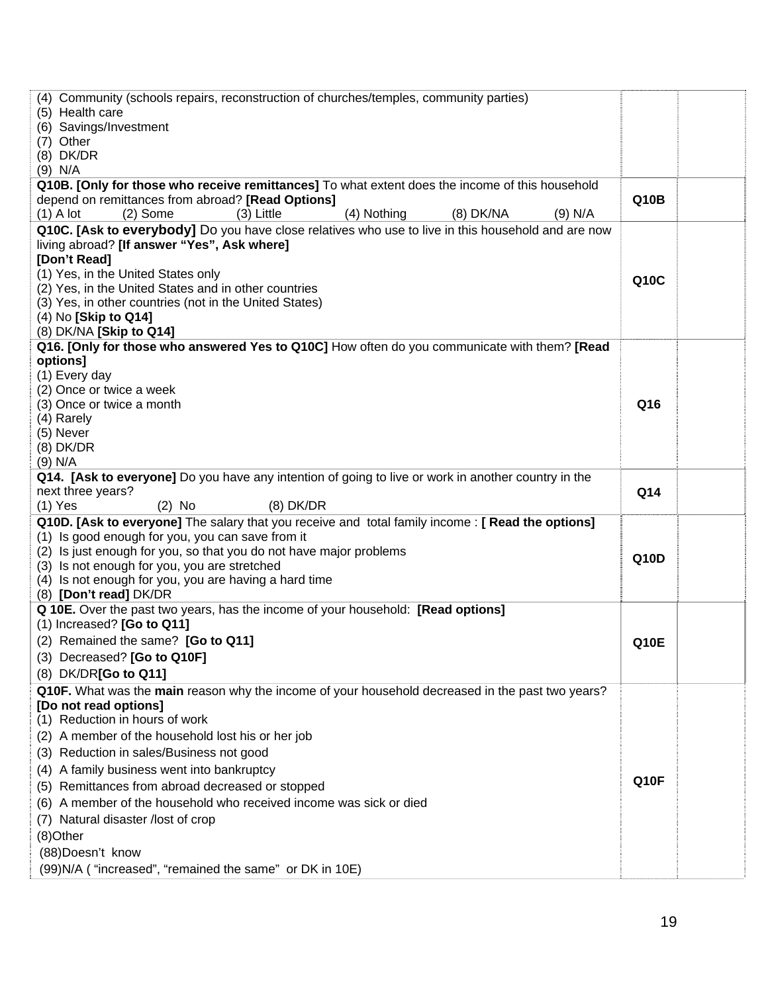| (4) Community (schools repairs, reconstruction of churches/temples, community parties)<br>(5) Health care<br>(6) Savings/Investment<br>(7) Other<br>(8) DK/DR<br>$(9)$ N/A                                                                                                                                                                                                                                                                                                                                                                                             |                   |
|------------------------------------------------------------------------------------------------------------------------------------------------------------------------------------------------------------------------------------------------------------------------------------------------------------------------------------------------------------------------------------------------------------------------------------------------------------------------------------------------------------------------------------------------------------------------|-------------------|
| Q10B. [Only for those who receive remittances] To what extent does the income of this household<br>depend on remittances from abroad? [Read Options]<br>$(1)$ A lot<br>$(2)$ Some<br>(3) Little<br>(4) Nothing<br>(8) DK/NA<br>$(9)$ N/A                                                                                                                                                                                                                                                                                                                               | Q10B              |
| Q10C. [Ask to everybody] Do you have close relatives who use to live in this household and are now<br>living abroad? [If answer "Yes", Ask where]<br>[Don't Read]<br>(1) Yes, in the United States only<br>(2) Yes, in the United States and in other countries<br>(3) Yes, in other countries (not in the United States)<br>(4) No [Skip to Q14]<br>(8) DK/NA [Skip to Q14]                                                                                                                                                                                           | Q10C              |
| Q16. [Only for those who answered Yes to Q10C] How often do you communicate with them? [Read<br><b>options1</b><br>(1) Every day<br>(2) Once or twice a week<br>(3) Once or twice a month<br>(4) Rarely<br>(5) Never<br>$(8)$ DK/DR<br>$(9)$ N/A                                                                                                                                                                                                                                                                                                                       | Q16               |
| Q14. [Ask to everyone] Do you have any intention of going to live or work in another country in the<br>next three years?<br>$(8)$ DK/DR<br>$(1)$ Yes<br>$(2)$ No                                                                                                                                                                                                                                                                                                                                                                                                       | Q14               |
| Q10D. [Ask to everyone] The salary that you receive and total family income: [ Read the options]<br>(1) Is good enough for you, you can save from it<br>(2) Is just enough for you, so that you do not have major problems<br>(3) Is not enough for you, you are stretched<br>(4) Is not enough for you, you are having a hard time<br>(8) [Don't read] DK/DR                                                                                                                                                                                                          | Q10D              |
| Q 10E. Over the past two years, has the income of your household: [Read options]<br>$(1)$ Increased? [Go to Q11]<br>(2) Remained the same? [Go to Q11]<br>(3) Decreased? [Go to Q10F]<br>(8) DK/DR[Go to Q11]                                                                                                                                                                                                                                                                                                                                                          | <b>Q10E</b>       |
| Q10F. What was the main reason why the income of your household decreased in the past two years?<br>[Do not read options]<br>(1) Reduction in hours of work<br>(2) A member of the household lost his or her job<br>(3) Reduction in sales/Business not good<br>(4) A family business went into bankruptcy<br>(5) Remittances from abroad decreased or stopped<br>(6) A member of the household who received income was sick or died<br>(7) Natural disaster /lost of crop<br>(8)Other<br>(88) Doesn't know<br>(99)N/A ("increased", "remained the same" or DK in 10E) | Q <sub>10</sub> F |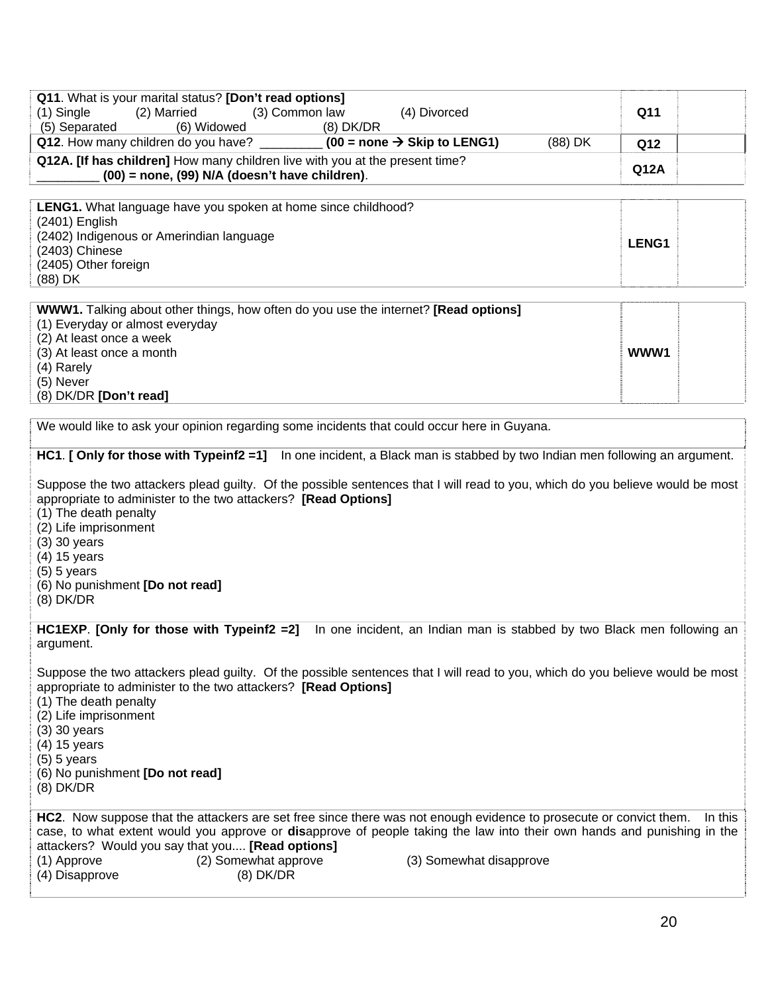| Q11. What is your marital status? [Don't read options]<br>(3) Common law<br>$(1)$ Single<br>(2) Married<br>(4) Divorced                                                                                                                                                                                                                                                                                                                                                          | Q11     |
|----------------------------------------------------------------------------------------------------------------------------------------------------------------------------------------------------------------------------------------------------------------------------------------------------------------------------------------------------------------------------------------------------------------------------------------------------------------------------------|---------|
| (5) Separated<br>(6) Widowed<br>$(8)$ DK/DR<br>Q12. How many children do you have? ___________ (00 = none $\rightarrow$ Skip to LENG1)<br>(88) DK                                                                                                                                                                                                                                                                                                                                | Q12     |
| Q12A. [If has children] How many children live with you at the present time?<br>(00) = none, (99) N/A (doesn't have children).                                                                                                                                                                                                                                                                                                                                                   | Q12A    |
| LENG1. What language have you spoken at home since childhood?<br>(2401) English<br>(2402) Indigenous or Amerindian language<br>(2403) Chinese<br>(2405) Other foreign<br>(88) DK                                                                                                                                                                                                                                                                                                 | LENG1   |
| <b>WWW1.</b> Talking about other things, how often do you use the internet? [Read options]<br>(1) Everyday or almost everyday<br>(2) At least once a week<br>(3) At least once a month<br>(4) Rarely<br>(5) Never<br>(8) DK/DR [Don't read]                                                                                                                                                                                                                                      | WWW1    |
| We would like to ask your opinion regarding some incidents that could occur here in Guyana.                                                                                                                                                                                                                                                                                                                                                                                      |         |
| HC1. [ Only for those with Typeinf2 =1] In one incident, a Black man is stabbed by two Indian men following an argument.<br>Suppose the two attackers plead guilty. Of the possible sentences that I will read to you, which do you believe would be most<br>appropriate to administer to the two attackers? [Read Options]<br>(1) The death penalty<br>(2) Life imprisonment<br>$(3)$ 30 years<br>(4) 15 years<br>$(5)$ 5 years<br>(6) No punishment [Do not read]<br>(8) DK/DR |         |
| HC1EXP. [Only for those with Typeinf2 =2]<br>In one incident, an Indian man is stabbed by two Black men following an<br>argument.                                                                                                                                                                                                                                                                                                                                                |         |
| Suppose the two attackers plead guilty. Of the possible sentences that I will read to you, which do you believe would be most<br>appropriate to administer to the two attackers? [Read Options]<br>(1) The death penalty<br>(2) Life imprisonment<br>$(3)$ 30 years<br>(4) 15 years<br>$(5)$ 5 years<br>(6) No punishment [Do not read]<br>$(8)$ DK/DR                                                                                                                           |         |
| HC2. Now suppose that the attackers are set free since there was not enough evidence to prosecute or convict them.<br>case, to what extent would you approve or disapprove of people taking the law into their own hands and punishing in the<br>attackers? Would you say that you [Read options]<br>(2) Somewhat approve<br>(3) Somewhat disapprove<br>(1) Approve<br>(4) Disapprove<br>$(8)$ DK/DR                                                                             | In this |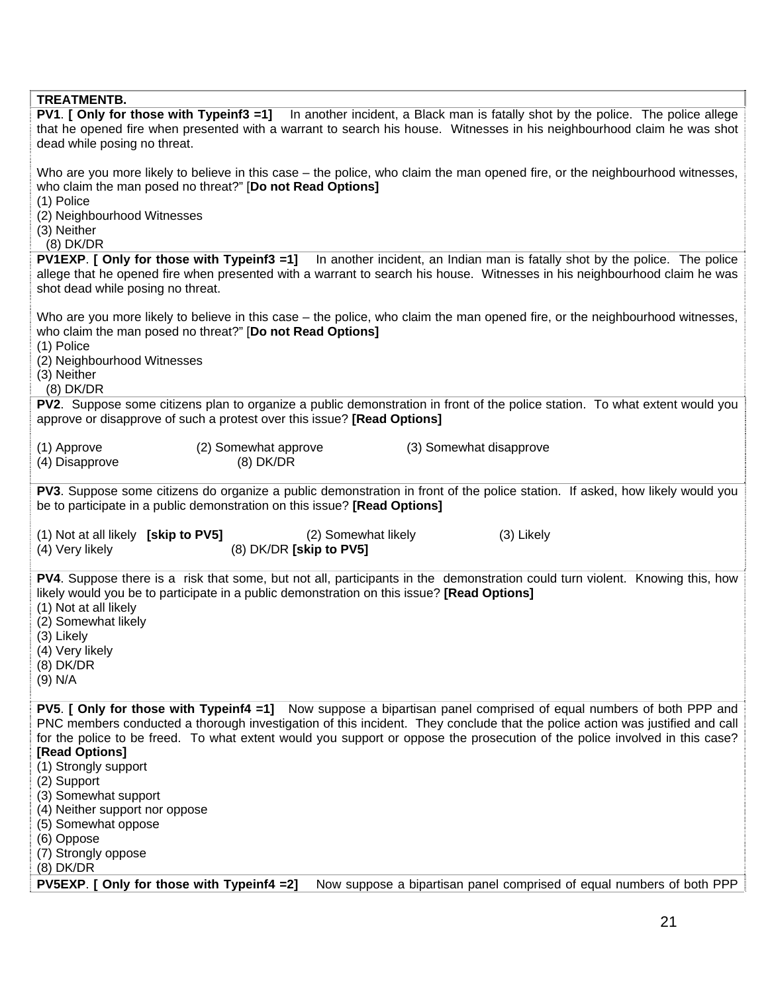| <b>TREATMENTB.</b>                                                                                                           |
|------------------------------------------------------------------------------------------------------------------------------|
| PV1. [ Only for those with Typeinf3 =1] In another incident, a Black man is fatally shot by the police. The police allege    |
| that he opened fire when presented with a warrant to search his house. Witnesses in his neighbourhood claim he was shot      |
| dead while posing no threat.                                                                                                 |
|                                                                                                                              |
|                                                                                                                              |
| Who are you more likely to believe in this case – the police, who claim the man opened fire, or the neighbourhood witnesses, |
| who claim the man posed no threat?" [Do not Read Options]                                                                    |
| (1) Police                                                                                                                   |
| (2) Neighbourhood Witnesses                                                                                                  |
|                                                                                                                              |
| (3) Neither                                                                                                                  |
| $(8)$ DK/DR                                                                                                                  |
| PV1EXP. [ Only for those with Typeinf3 =1]<br>In another incident, an Indian man is fatally shot by the police. The police   |
| allege that he opened fire when presented with a warrant to search his house. Witnesses in his neighbourhood claim he was    |
| shot dead while posing no threat.                                                                                            |
|                                                                                                                              |
|                                                                                                                              |
| Who are you more likely to believe in this case – the police, who claim the man opened fire, or the neighbourhood witnesses, |
| who claim the man posed no threat?" [Do not Read Options]                                                                    |
| (1) Police                                                                                                                   |
| (2) Neighbourhood Witnesses                                                                                                  |
| (3) Neither                                                                                                                  |
|                                                                                                                              |
| $(8)$ DK/DR                                                                                                                  |
| PV2. Suppose some citizens plan to organize a public demonstration in front of the police station. To what extent would you  |
| approve or disapprove of such a protest over this issue? [Read Options]                                                      |
|                                                                                                                              |
| (1) Approve<br>(2) Somewhat approve<br>(3) Somewhat disapprove                                                               |
|                                                                                                                              |
| $(8)$ DK/DR<br>(4) Disapprove                                                                                                |
|                                                                                                                              |
| PV3. Suppose some citizens do organize a public demonstration in front of the police station. If asked, how likely would you |
| be to participate in a public demonstration on this issue? [Read Options]                                                    |
|                                                                                                                              |
| (1) Not at all likely [skip to PV5]<br>(2) Somewhat likely<br>(3) Likely                                                     |
| (8) DK/DR [skip to PV5]                                                                                                      |
| (4) Very likely                                                                                                              |
|                                                                                                                              |
| PV4. Suppose there is a risk that some, but not all, participants in the demonstration could turn violent. Knowing this, how |
| likely would you be to participate in a public demonstration on this issue? [Read Options]                                   |
| (1) Not at all likely                                                                                                        |
| (2) Somewhat likely                                                                                                          |
|                                                                                                                              |
| (3) Likely                                                                                                                   |
| (4) Very likely                                                                                                              |
| $(8)$ DK/DR                                                                                                                  |
| $(9)$ N/A                                                                                                                    |
|                                                                                                                              |
| PV5. [ Only for those with Typeinf4 =1] Now suppose a bipartisan panel comprised of equal numbers of both PPP and            |
|                                                                                                                              |
| PNC members conducted a thorough investigation of this incident. They conclude that the police action was justified and call |
| for the police to be freed. To what extent would you support or oppose the prosecution of the police involved in this case?  |
| [Read Options]                                                                                                               |
| (1) Strongly support                                                                                                         |
| (2) Support                                                                                                                  |
|                                                                                                                              |
| (3) Somewhat support                                                                                                         |
| (4) Neither support nor oppose                                                                                               |
| (5) Somewhat oppose                                                                                                          |
| (6) Oppose                                                                                                                   |
| (7) Strongly oppose                                                                                                          |
| $(8)$ DK/DR                                                                                                                  |
|                                                                                                                              |
| PV5EXP. [ Only for those with Typeinf4 =2]<br>Now suppose a bipartisan panel comprised of equal numbers of both PPP          |
|                                                                                                                              |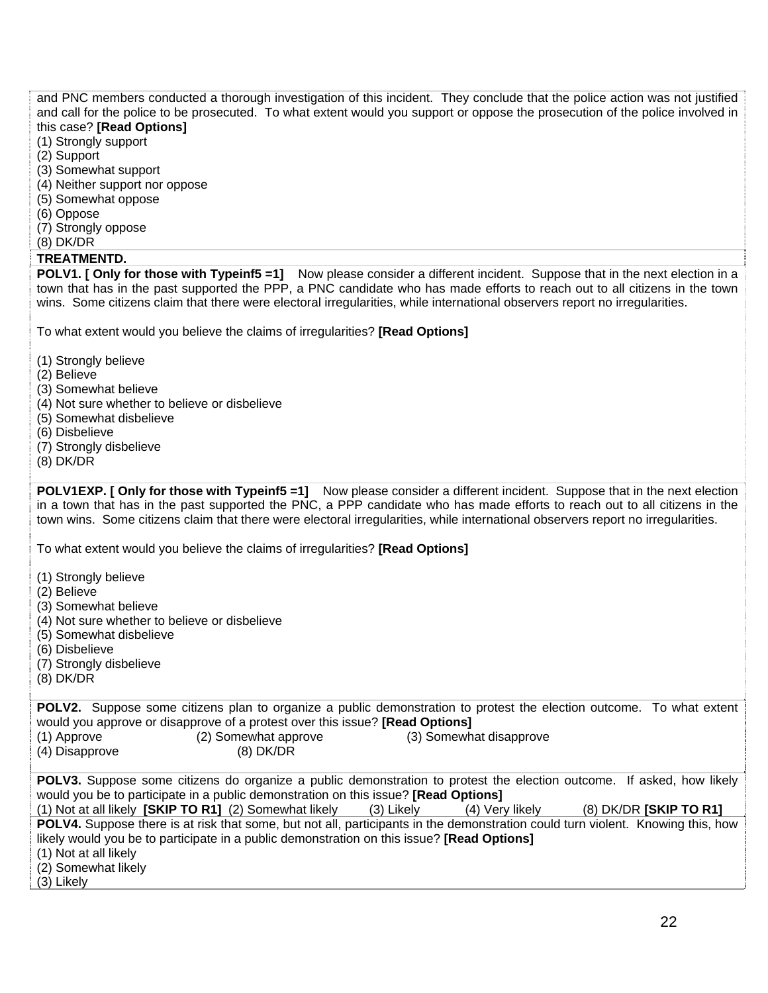and PNC members conducted a thorough investigation of this incident. They conclude that the police action was not justified and call for the police to be prosecuted. To what extent would you support or oppose the prosecution of the police involved in this case? **[Read Options]**

#### (1) Strongly support

- (2) Support
- (3) Somewhat support
- (4) Neither support nor oppose
- (5) Somewhat oppose
- (6) Oppose
- (7) Strongly oppose
- (8) DK/DR

#### **TREATMENTD.**

**POLV1. [ Only for those with Typeinf5 =1]** Now please consider a different incident. Suppose that in the next election in a town that has in the past supported the PPP, a PNC candidate who has made efforts to reach out to all citizens in the town wins. Some citizens claim that there were electoral irregularities, while international observers report no irregularities.

To what extent would you believe the claims of irregularities? **[Read Options]**

- (1) Strongly believe
- (2) Believe
- (3) Somewhat believe
- (4) Not sure whether to believe or disbelieve
- (5) Somewhat disbelieve
- (6) Disbelieve
- (7) Strongly disbelieve
- (8) DK/DR

**POLV1EXP. [ Only for those with Typeinf5 =1]** Now please consider a different incident. Suppose that in the next election in a town that has in the past supported the PNC, a PPP candidate who has made efforts to reach out to all citizens in the town wins. Some citizens claim that there were electoral irregularities, while international observers report no irregularities.

To what extent would you believe the claims of irregularities? **[Read Options]**

- (1) Strongly believe
- (2) Believe
- (3) Somewhat believe
- (4) Not sure whether to believe or disbelieve
- (5) Somewhat disbelieve
- (6) Disbelieve
- (7) Strongly disbelieve
- (8) DK/DR

**POLV2.** Suppose some citizens plan to organize a public demonstration to protest the election outcome. To what extent would you approve or disapprove of a protest over this issue? **[Read Options]** (1) Approve (2) Somewhat approve (3) Somewhat disapprove

| , , , , ,      |             |
|----------------|-------------|
| (4) Disapprove | $(8)$ DK/DR |

| <b>POLV3.</b> Suppose some citizens do organize a public demonstration to protest the election outcome. If asked, how likely |  |                                   |
|------------------------------------------------------------------------------------------------------------------------------|--|-----------------------------------|
| would you be to participate in a public demonstration on this issue? [Read Options]                                          |  |                                   |
|                                                                                                                              |  | $(0)$ bising $(0.015)$ $\pm 0.01$ |

(1) Not at all likely **[SKIP TO R1]** (2) Somewhat likely (3) Likely (4) Very likely (8) DK/DR **[SKIP TO R1] POLV4.** Suppose there is at risk that some, but not all, participants in the demonstration could turn violent. Knowing this, how likely would you be to participate in a public demonstration on this issue? **[Read Options]** (1) Not at all likely

(2) Somewhat likely

(3) Likely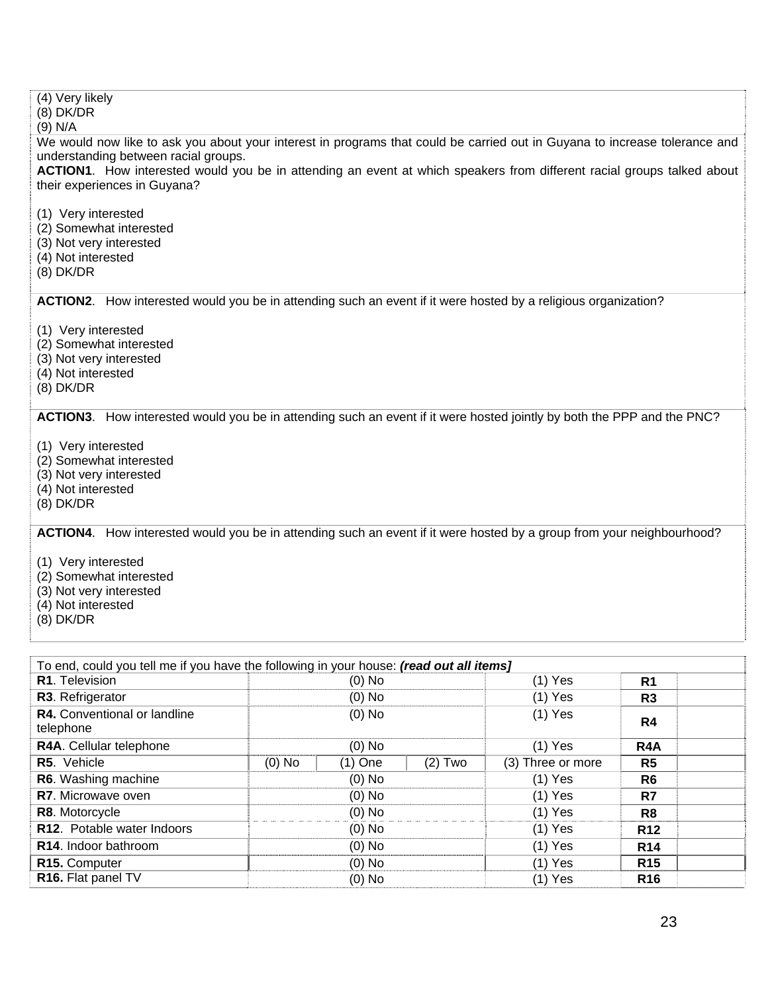| (4) Very likely<br>$(8)$ DK/DR<br>$(9)$ N/A                                                                                                                                                                                                                                                                                  |  |  |  |  |  |
|------------------------------------------------------------------------------------------------------------------------------------------------------------------------------------------------------------------------------------------------------------------------------------------------------------------------------|--|--|--|--|--|
| We would now like to ask you about your interest in programs that could be carried out in Guyana to increase tolerance and<br>understanding between racial groups.<br>ACTION1. How interested would you be in attending an event at which speakers from different racial groups talked about<br>their experiences in Guyana? |  |  |  |  |  |
| (1) Very interested<br>(2) Somewhat interested<br>(3) Not very interested<br>(4) Not interested<br>$(8)$ DK/DR                                                                                                                                                                                                               |  |  |  |  |  |
| ACTION2. How interested would you be in attending such an event if it were hosted by a religious organization?                                                                                                                                                                                                               |  |  |  |  |  |
| (1) Very interested<br>(2) Somewhat interested<br>(3) Not very interested<br>(4) Not interested<br>$(8)$ DK/DR                                                                                                                                                                                                               |  |  |  |  |  |
| ACTION3. How interested would you be in attending such an event if it were hosted jointly by both the PPP and the PNC?                                                                                                                                                                                                       |  |  |  |  |  |
| (1) Very interested<br>(2) Somewhat interested<br>(3) Not very interested<br>(4) Not interested<br>$(8)$ DK/DR                                                                                                                                                                                                               |  |  |  |  |  |
| ACTION4. How interested would you be in attending such an event if it were hosted by a group from your neighbourhood?                                                                                                                                                                                                        |  |  |  |  |  |
| (1) Very interested<br>(2) Somewhat interested<br>(3) Not very interested<br>(4) Not interested<br>$(8)$ DK/DR                                                                                                                                                                                                               |  |  |  |  |  |
|                                                                                                                                                                                                                                                                                                                              |  |  |  |  |  |
| To end, could you tell me if you have the following in your house: (read out all items]                                                                                                                                                                                                                                      |  |  |  |  |  |
| $(1)$ Yes<br>R1. Television<br>$(0)$ No<br>R <sub>1</sub><br>R3. Refrigerator                                                                                                                                                                                                                                                |  |  |  |  |  |
| $(0)$ No<br>$(1)$ Yes<br>R <sub>3</sub><br>R4. Conventional or landline<br>$(1)$ Yes<br>$(0)$ No                                                                                                                                                                                                                             |  |  |  |  |  |
| R4<br>telephone                                                                                                                                                                                                                                                                                                              |  |  |  |  |  |
| $(1)$ Yes<br>R4A. Cellular telephone<br>$(0)$ No<br>R <sub>4</sub> A                                                                                                                                                                                                                                                         |  |  |  |  |  |
| R5. Vehicle<br>$(0)$ No<br>$(1)$ One<br>$(2)$ Two<br>(3) Three or more<br>R <sub>5</sub>                                                                                                                                                                                                                                     |  |  |  |  |  |
| R6. Washing machine<br>$(0)$ No<br>$(1)$ Yes<br>R <sub>6</sub>                                                                                                                                                                                                                                                               |  |  |  |  |  |
| R7. Microwave oven<br>$(0)$ No<br>$(1)$ Yes<br>R7                                                                                                                                                                                                                                                                            |  |  |  |  |  |
| R8. Motorcycle<br>$(0)$ No<br>$(1)$ Yes<br>R <sub>8</sub>                                                                                                                                                                                                                                                                    |  |  |  |  |  |
| R12. Potable water Indoors<br>$(0)$ No<br>$(1)$ Yes<br>R <sub>12</sub>                                                                                                                                                                                                                                                       |  |  |  |  |  |
| $(0)$ No<br>$(1)$ Yes<br>R14. Indoor bathroom<br>R <sub>14</sub><br>$(0)$ No<br>$(1)$ Yes<br><b>R15</b><br>R15. Computer                                                                                                                                                                                                     |  |  |  |  |  |
| R16. Flat panel TV<br>$(0)$ No<br>$(1)$ Yes<br>R <sub>16</sub>                                                                                                                                                                                                                                                               |  |  |  |  |  |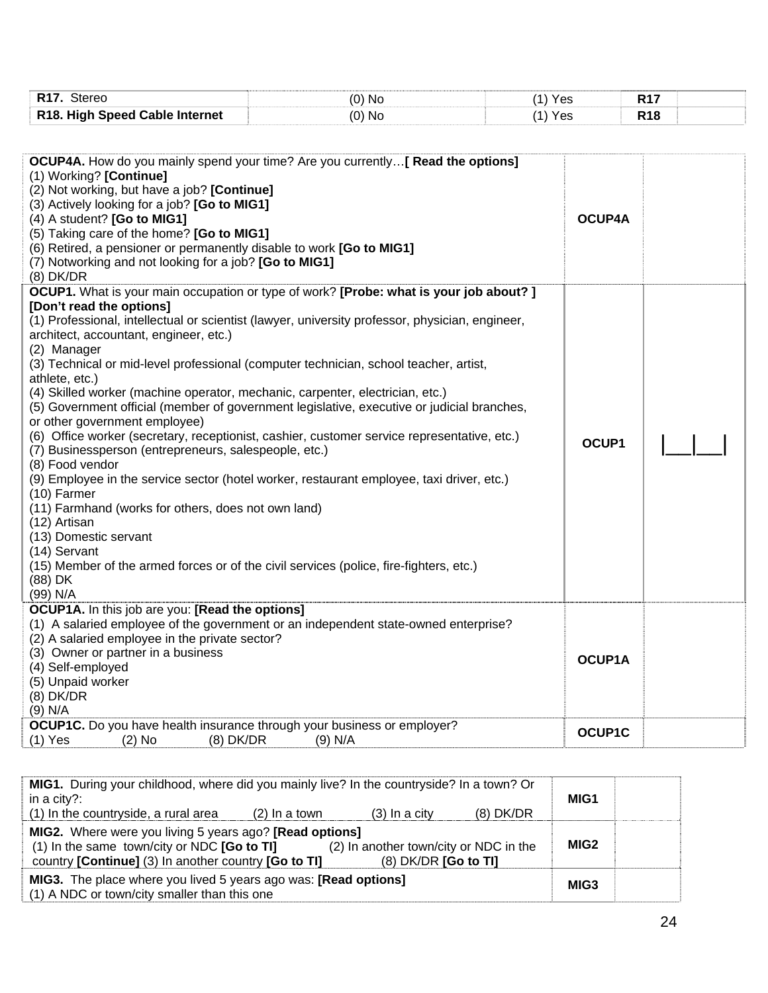| R <sub>17</sub> . Stereo                                                               | $(0)$ No                                                                                        | $(1)$ Yes | <b>R17</b> |  |  |
|----------------------------------------------------------------------------------------|-------------------------------------------------------------------------------------------------|-----------|------------|--|--|
| R18. High Speed Cable Internet                                                         | $(0)$ No                                                                                        | $(1)$ Yes | <b>R18</b> |  |  |
|                                                                                        |                                                                                                 |           |            |  |  |
|                                                                                        |                                                                                                 |           |            |  |  |
|                                                                                        | <b>OCUP4A.</b> How do you mainly spend your time? Are you currently [ Read the options]         |           |            |  |  |
| (1) Working? [Continue]                                                                |                                                                                                 |           |            |  |  |
| (2) Not working, but have a job? [Continue]                                            |                                                                                                 |           |            |  |  |
| (3) Actively looking for a job? [Go to MIG1]<br>(4) A student? [Go to MIG1]            |                                                                                                 | OCUP4A    |            |  |  |
| (5) Taking care of the home? [Go to MIG1]                                              |                                                                                                 |           |            |  |  |
| (6) Retired, a pensioner or permanently disable to work [Go to MIG1]                   |                                                                                                 |           |            |  |  |
| (7) Notworking and not looking for a job? [Go to MIG1]                                 |                                                                                                 |           |            |  |  |
| $(8)$ DK/DR                                                                            |                                                                                                 |           |            |  |  |
|                                                                                        | <b>OCUP1.</b> What is your main occupation or type of work? [Probe: what is your job about?]    |           |            |  |  |
| [Don't read the options]                                                               |                                                                                                 |           |            |  |  |
|                                                                                        | (1) Professional, intellectual or scientist (lawyer, university professor, physician, engineer, |           |            |  |  |
| architect, accountant, engineer, etc.)                                                 |                                                                                                 |           |            |  |  |
| (2) Manager                                                                            |                                                                                                 |           |            |  |  |
|                                                                                        | (3) Technical or mid-level professional (computer technician, school teacher, artist,           |           |            |  |  |
| athlete, etc.)                                                                         |                                                                                                 |           |            |  |  |
| (4) Skilled worker (machine operator, mechanic, carpenter, electrician, etc.)          |                                                                                                 |           |            |  |  |
|                                                                                        | (5) Government official (member of government legislative, executive or judicial branches,      |           |            |  |  |
| or other government employee)                                                          |                                                                                                 |           |            |  |  |
|                                                                                        | (6) Office worker (secretary, receptionist, cashier, customer service representative, etc.)     | OCUP1     |            |  |  |
| (7) Businessperson (entrepreneurs, salespeople, etc.)                                  |                                                                                                 |           |            |  |  |
| (8) Food vendor                                                                        |                                                                                                 |           |            |  |  |
| $(10)$ Farmer                                                                          | (9) Employee in the service sector (hotel worker, restaurant employee, taxi driver, etc.)       |           |            |  |  |
| (11) Farmhand (works for others, does not own land)                                    |                                                                                                 |           |            |  |  |
| (12) Artisan                                                                           |                                                                                                 |           |            |  |  |
| (13) Domestic servant                                                                  |                                                                                                 |           |            |  |  |
| (14) Servant                                                                           |                                                                                                 |           |            |  |  |
| (15) Member of the armed forces or of the civil services (police, fire-fighters, etc.) |                                                                                                 |           |            |  |  |
| (88) DK                                                                                |                                                                                                 |           |            |  |  |
| (99) N/A                                                                               |                                                                                                 |           |            |  |  |
| OCUP1A. In this job are you: [Read the options]                                        |                                                                                                 |           |            |  |  |
|                                                                                        | (1) A salaried employee of the government or an independent state-owned enterprise?             |           |            |  |  |
| (2) A salaried employee in the private sector?                                         |                                                                                                 |           |            |  |  |
| (3) Owner or partner in a business                                                     |                                                                                                 | OCUP1A    |            |  |  |
| (4) Self-employed                                                                      |                                                                                                 |           |            |  |  |
| (5) Unpaid worker                                                                      |                                                                                                 |           |            |  |  |
| $(8)$ DK/DR<br>$(9)$ N/A                                                               |                                                                                                 |           |            |  |  |
| OCUP1C. Do you have health insurance through your business or employer?                |                                                                                                 |           |            |  |  |
| $(1)$ Yes<br>$(2)$ No<br>$(8)$ DK/DR                                                   | $(9)$ N/A                                                                                       | OCUP1C    |            |  |  |

| MIG1. During your childhood, where did you mainly live? In the countryside? In a town? Or<br>in a city?:                                                                                                                                                                 |                 |                 |             | MIG1             |  |
|--------------------------------------------------------------------------------------------------------------------------------------------------------------------------------------------------------------------------------------------------------------------------|-----------------|-----------------|-------------|------------------|--|
| (1) In the countryside, a rural area                                                                                                                                                                                                                                     | $(2)$ In a town | $(3)$ In a city | $(8)$ DK/DR |                  |  |
| <b>MIG2.</b> Where were you living 5 years ago? <b>[Read options]</b><br>MIG <sub>2</sub><br>(1) In the same town/city or NDC $[Go to TI]$<br>(2) In another town/city or NDC in the<br>country [Continue] (3) In another country [Go to TI]<br>$(8)$ DK/DR $[Go to TI]$ |                 |                 |             |                  |  |
| <b>MIG3.</b> The place where you lived 5 years ago was: <b>[Read options]</b><br>(1) A NDC or town/city smaller than this one                                                                                                                                            |                 |                 |             | MIG <sub>3</sub> |  |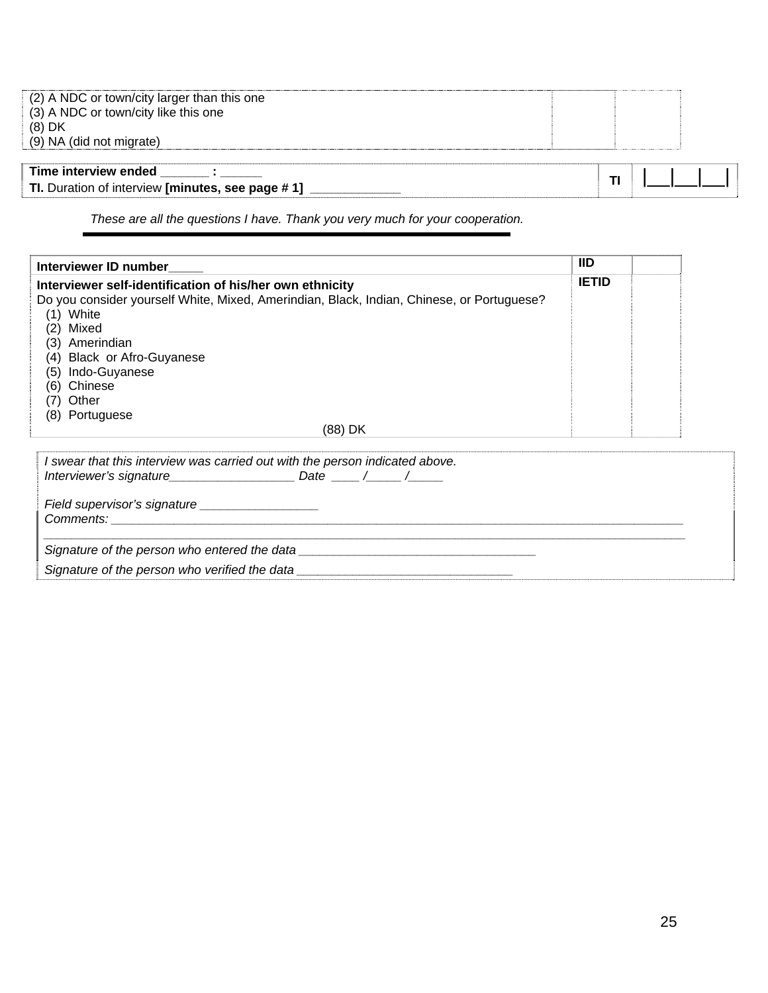| (2) A NDC or town/city larger than this one<br>(3) A NDC or town/city like this one<br>$(8)$ DK<br>(9) NA (did not migrate) |  |  |  |
|-----------------------------------------------------------------------------------------------------------------------------|--|--|--|
| Time interview ended<br>TI. Duration of interview [minutes, see page #1]                                                    |  |  |  |

*These are all the questions I have. Thank you very much for your cooperation.* 

| Interviewer ID number                                                                     | IID          |  |
|-------------------------------------------------------------------------------------------|--------------|--|
| Interviewer self-identification of his/her own ethnicity                                  | <b>IETID</b> |  |
| Do you consider yourself White, Mixed, Amerindian, Black, Indian, Chinese, or Portuguese? |              |  |
| (1) White                                                                                 |              |  |
| Mixed<br>(2)                                                                              |              |  |
| (3)<br>Amerindian                                                                         |              |  |
| (4) Black or Afro-Guyanese                                                                |              |  |
| Indo-Guyanese<br>(5)                                                                      |              |  |
| (6)<br>Chinese                                                                            |              |  |
| Other<br>(7)                                                                              |              |  |
| (8) Portuguese                                                                            |              |  |
| (88) DK                                                                                   |              |  |
| I swear that this interview was carried out with the person indicated above.              |              |  |
|                                                                                           |              |  |
|                                                                                           |              |  |
|                                                                                           |              |  |
|                                                                                           |              |  |

Signature of the person who verified the data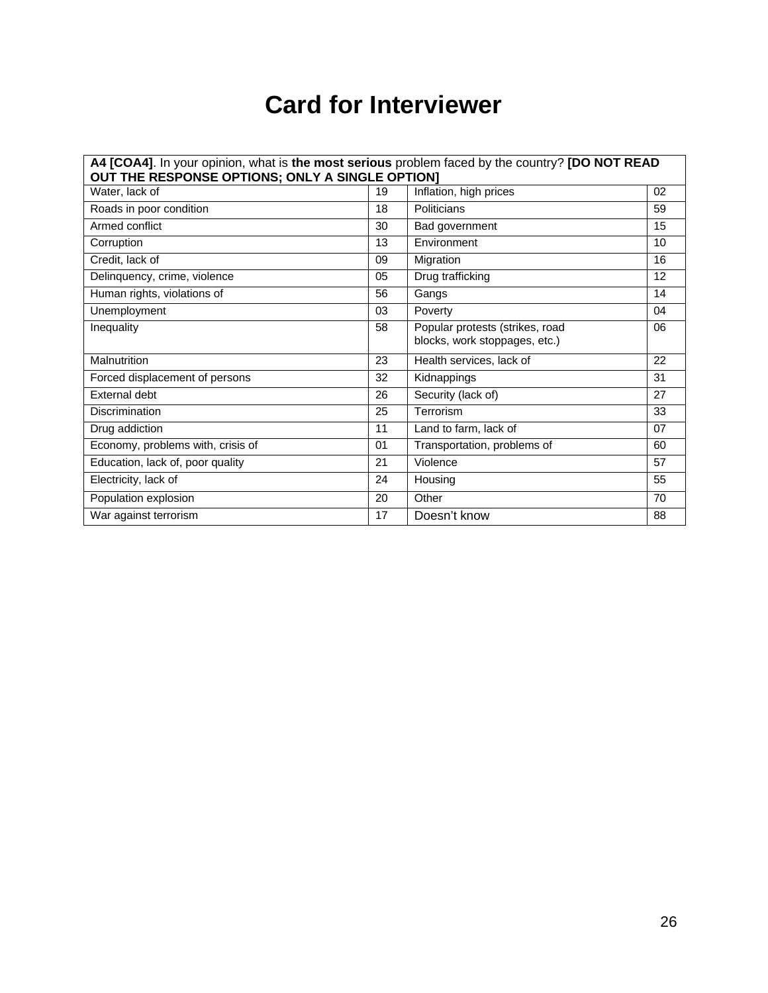## **Card for Interviewer**

| A4 [COA4]. In your opinion, what is the most serious problem faced by the country? [DO NOT READ<br>OUT THE RESPONSE OPTIONS; ONLY A SINGLE OPTION] |    |                                                                  |    |  |
|----------------------------------------------------------------------------------------------------------------------------------------------------|----|------------------------------------------------------------------|----|--|
| Water, lack of                                                                                                                                     | 19 | Inflation, high prices                                           | 02 |  |
| Roads in poor condition                                                                                                                            | 18 | Politicians                                                      | 59 |  |
| Armed conflict                                                                                                                                     | 30 | Bad government                                                   | 15 |  |
| Corruption                                                                                                                                         | 13 | Environment                                                      | 10 |  |
| Credit, lack of                                                                                                                                    | 09 | Migration                                                        | 16 |  |
| Delinquency, crime, violence                                                                                                                       | 05 | Drug trafficking                                                 | 12 |  |
| Human rights, violations of                                                                                                                        | 56 | Gangs                                                            | 14 |  |
| Unemployment                                                                                                                                       | 03 | Poverty                                                          | 04 |  |
| Inequality                                                                                                                                         | 58 | Popular protests (strikes, road<br>blocks, work stoppages, etc.) | 06 |  |
| Malnutrition                                                                                                                                       | 23 | Health services, lack of                                         | 22 |  |
| Forced displacement of persons                                                                                                                     | 32 | Kidnappings                                                      | 31 |  |
| <b>External debt</b>                                                                                                                               | 26 | Security (lack of)                                               | 27 |  |
| Discrimination                                                                                                                                     | 25 | Terrorism                                                        | 33 |  |
| Drug addiction                                                                                                                                     | 11 | Land to farm, lack of                                            | 07 |  |
| Economy, problems with, crisis of                                                                                                                  | 01 | Transportation, problems of                                      | 60 |  |
| Education, lack of, poor quality                                                                                                                   | 21 | Violence                                                         | 57 |  |
| Electricity, lack of                                                                                                                               | 24 | Housing                                                          | 55 |  |
| Population explosion                                                                                                                               | 20 | Other                                                            | 70 |  |
| War against terrorism                                                                                                                              | 17 | Doesn't know                                                     | 88 |  |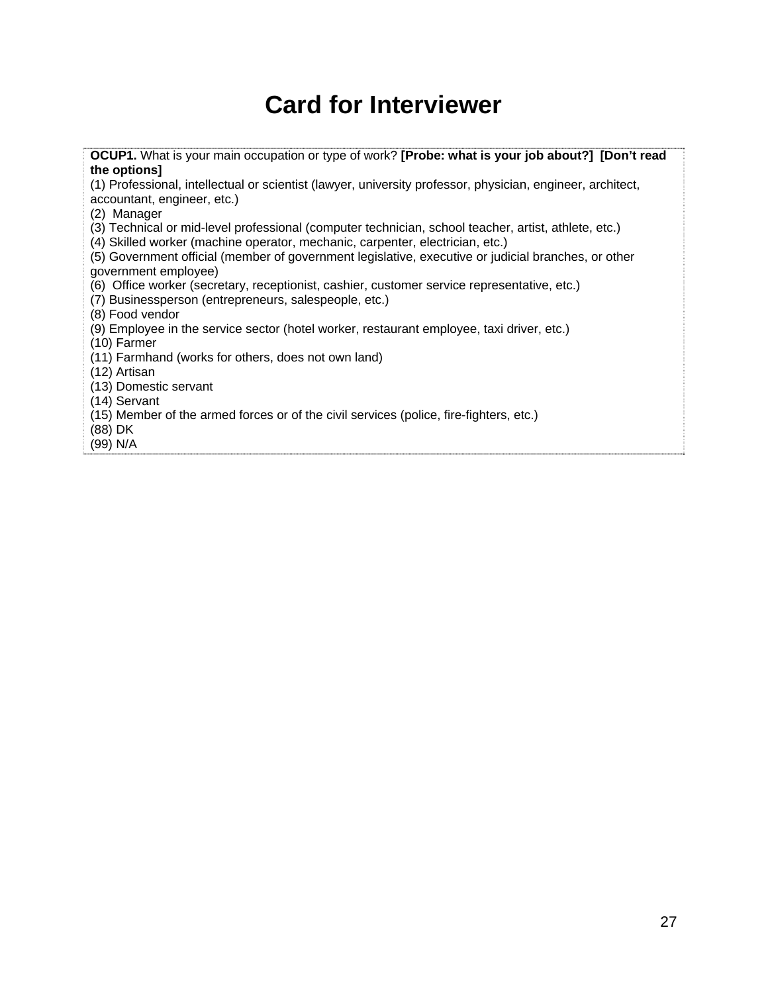## **Card for Interviewer**

**OCUP1.** What is your main occupation or type of work? **[Probe: what is your job about?] [Don't read the options]** 

(1) Professional, intellectual or scientist (lawyer, university professor, physician, engineer, architect, accountant, engineer, etc.)

(2) Manager

(3) Technical or mid-level professional (computer technician, school teacher, artist, athlete, etc.)

(4) Skilled worker (machine operator, mechanic, carpenter, electrician, etc.)

(5) Government official (member of government legislative, executive or judicial branches, or other government employee)

(6) Office worker (secretary, receptionist, cashier, customer service representative, etc.)

(7) Businessperson (entrepreneurs, salespeople, etc.)

(8) Food vendor

(9) Employee in the service sector (hotel worker, restaurant employee, taxi driver, etc.)

(10) Farmer

(11) Farmhand (works for others, does not own land)

(12) Artisan

(13) Domestic servant

(14) Servant

(15) Member of the armed forces or of the civil services (police, fire-fighters, etc.)

(88) DK

(99) N/A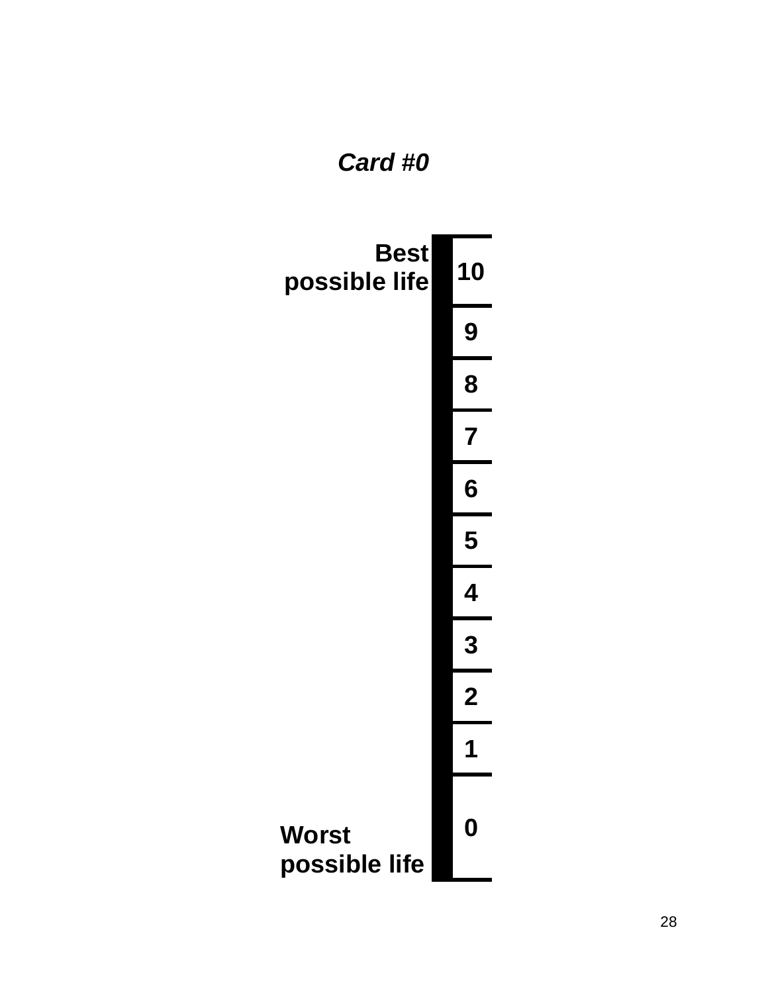## *Card #0*

| <b>Best</b><br>possible life | 10               |
|------------------------------|------------------|
|                              | 9                |
|                              | 8                |
|                              | 7                |
|                              | 6                |
|                              | 5                |
|                              | 4                |
|                              | 3                |
|                              | $\boldsymbol{2}$ |
|                              | 1                |
| Worst<br>possible life       | D                |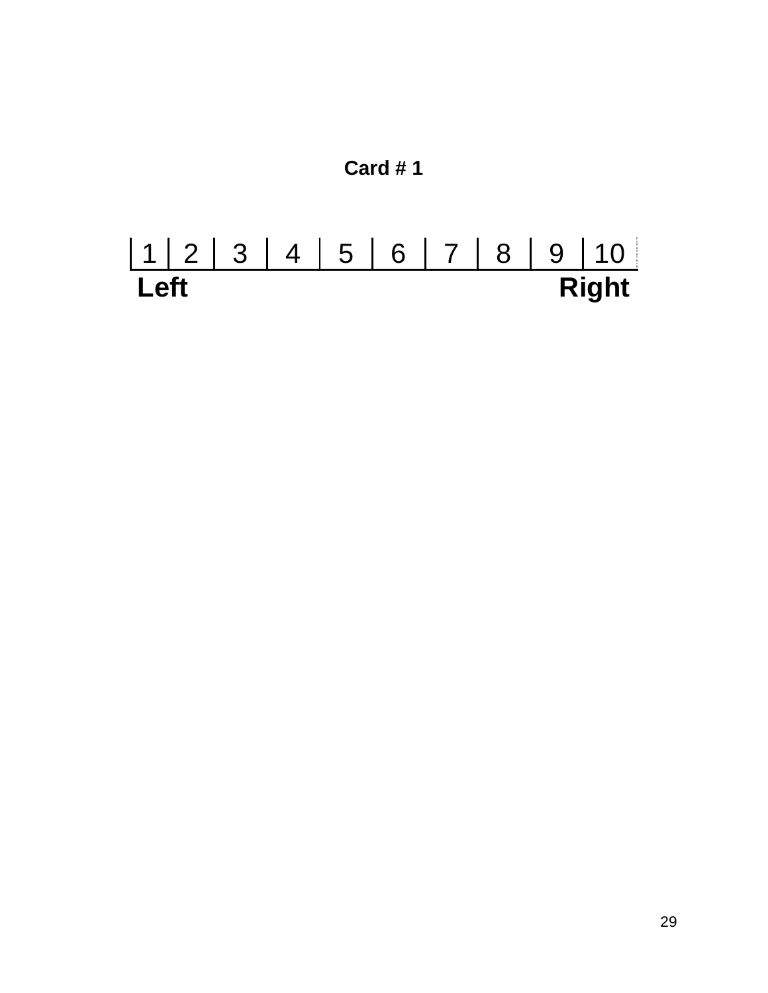

# 1 2 3 4 5 6 7 8 9 10 Left Right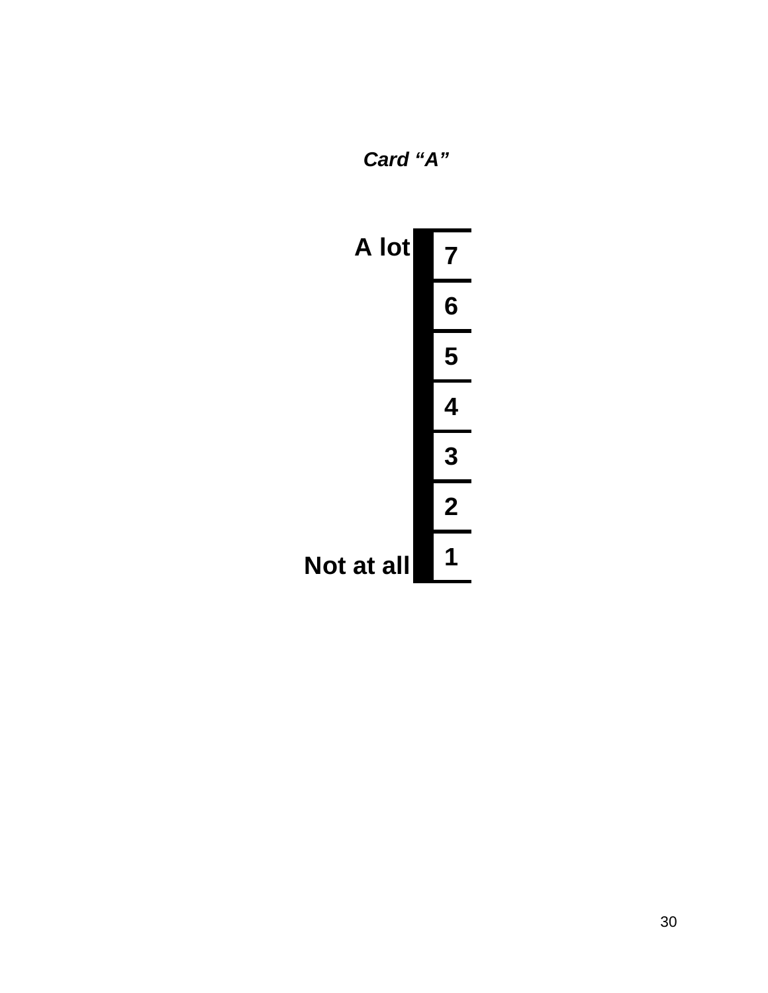

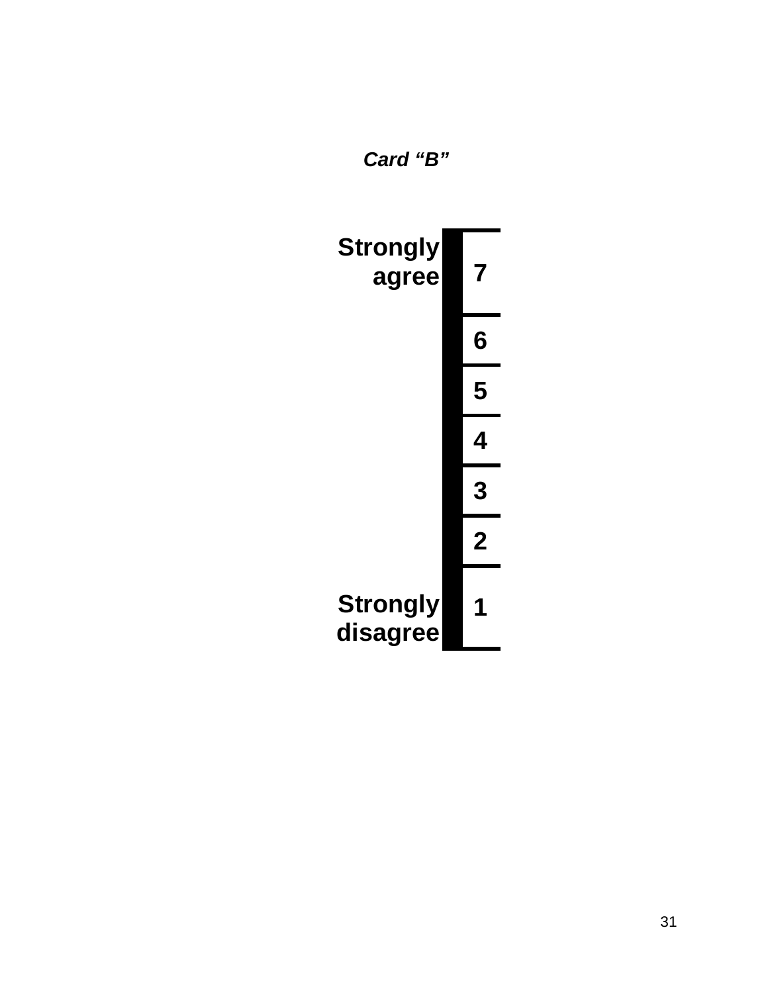

*Card "B"*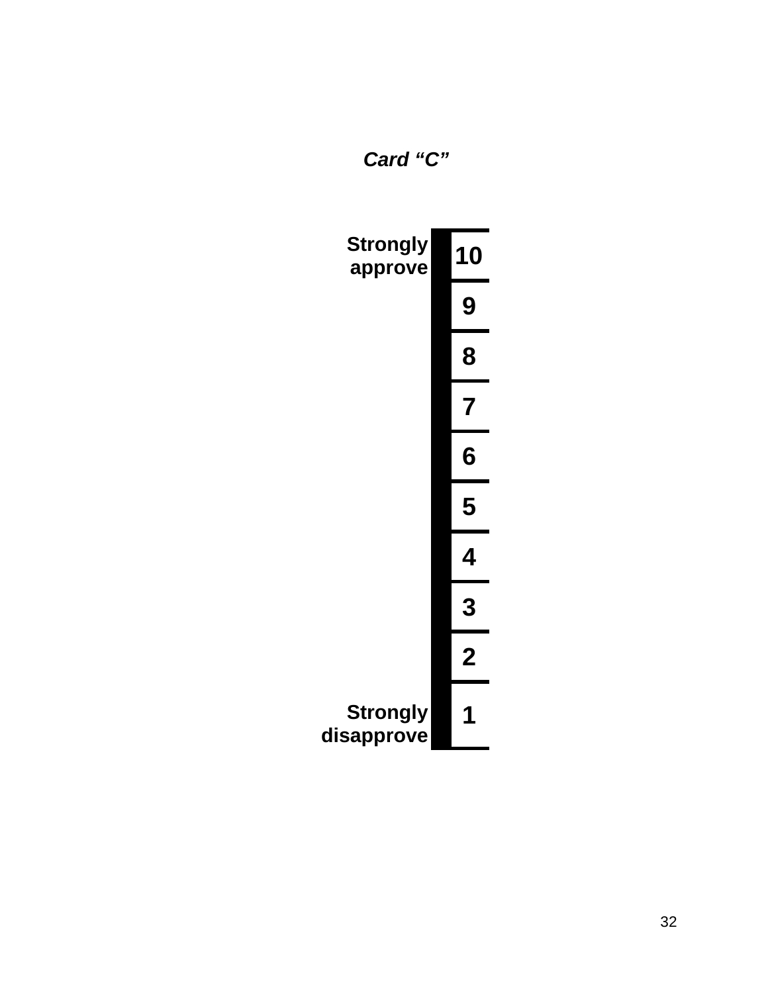*Card "C"* 

| <b>Strongly</b><br>approve    | 10             |
|-------------------------------|----------------|
|                               | 9              |
|                               | 8              |
|                               | 7              |
|                               | 6              |
|                               | 5              |
|                               | Δ.             |
|                               | 3              |
|                               | $\overline{2}$ |
| <b>Strongly</b><br>disapprove |                |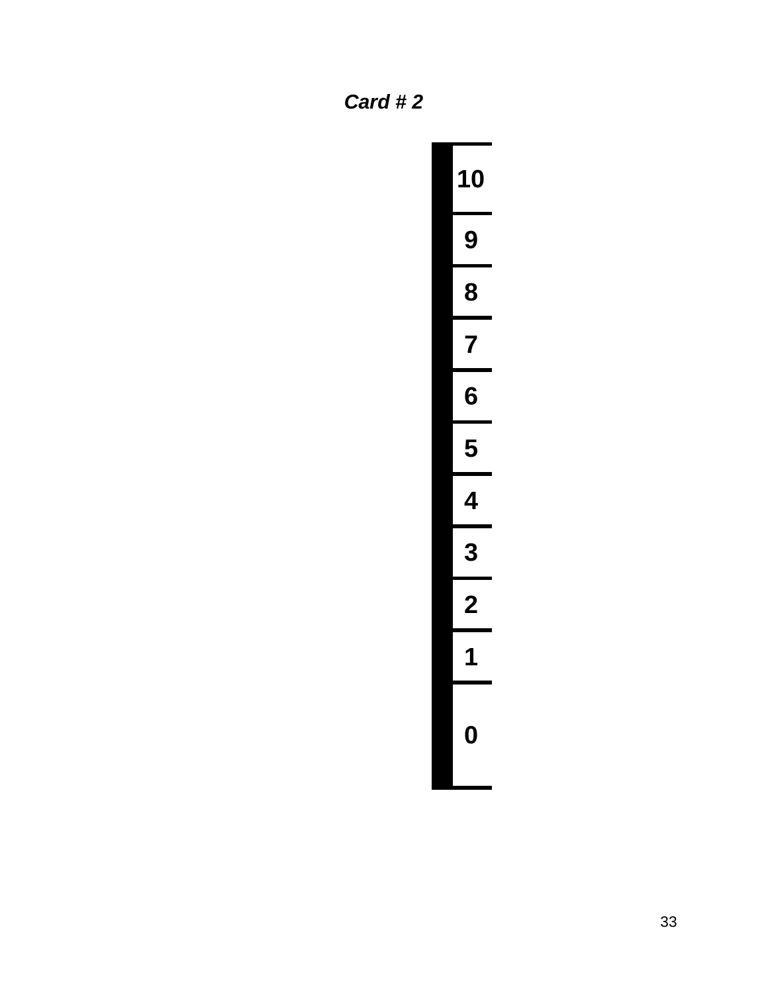*Card # 2* 

| 10             |
|----------------|
| 9              |
| 8              |
| $\overline{7}$ |
| 6              |
| 5              |
| 1              |
| 3              |
|                |
| 1              |
| ገ              |